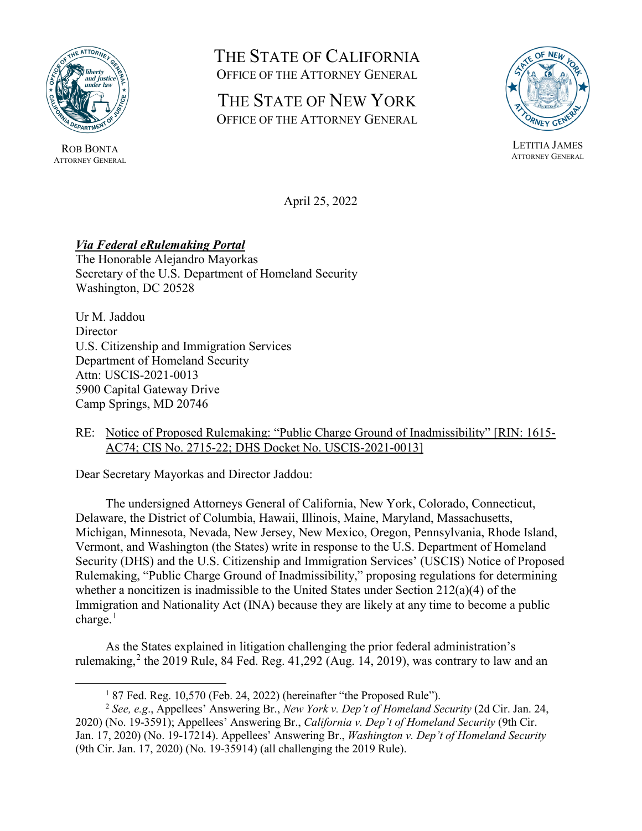

ROB BONTA ATTORNEY GENERAL

# THE STATE OF CALIFORNIA OFFICE OF THE ATTORNEY GENERAL

## THE STATE OF NEW YORK OFFICE OF THE ATTORNEY GENERAL



LETITIA JAMES ATTORNEY GENERAL

April 25, 2022

### *Via Federal eRulemaking Portal*

The Honorable Alejandro Mayorkas Secretary of the U.S. Department of Homeland Security Washington, DC 20528

Ur M. Jaddou **Director** U.S. Citizenship and Immigration Services Department of Homeland Security Attn: USCIS-2021-0013 5900 Capital Gateway Drive Camp Springs, MD 20746

#### RE: Notice of Proposed Rulemaking: "Public Charge Ground of Inadmissibility" [RIN: 1615- AC74; CIS No. 2715-22; DHS Docket No. USCIS-2021-0013]

Dear Secretary Mayorkas and Director Jaddou:

The undersigned Attorneys General of California, New York, Colorado, Connecticut, Delaware, the District of Columbia, Hawaii, Illinois, Maine, Maryland, Massachusetts, Michigan, Minnesota, Nevada, New Jersey, New Mexico, Oregon, Pennsylvania, Rhode Island, Vermont, and Washington (the States) write in response to the U.S. Department of Homeland Security (DHS) and the U.S. Citizenship and Immigration Services' (USCIS) Notice of Proposed Rulemaking, "Public Charge Ground of Inadmissibility," proposing regulations for determining whether a noncitizen is inadmissible to the United States under Section 212(a)(4) of the Immigration and Nationality Act (INA) because they are likely at any time to become a public charge. $<sup>1</sup>$  $<sup>1</sup>$  $<sup>1</sup>$ </sup>

As the States explained in litigation challenging the prior federal administration's rulemaking, [2](#page-0-1) the 2019 Rule, 84 Fed. Reg. 41,292 (Aug. 14, 2019), was contrary to law and an

 $187$  Fed. Reg. 10,570 (Feb. 24, 2022) (hereinafter "the Proposed Rule").

<span id="page-0-1"></span><span id="page-0-0"></span><sup>2</sup> *See, e.g*., Appellees' Answering Br., *New York v. Dep't of Homeland Security* (2d Cir. Jan. 24, 2020) (No. 19-3591); Appellees' Answering Br., *California v. Dep't of Homeland Security* (9th Cir. Jan. 17, 2020) (No. 19-17214). Appellees' Answering Br., *Washington v. Dep't of Homeland Security* (9th Cir. Jan. 17, 2020) (No. 19-35914) (all challenging the 2019 Rule).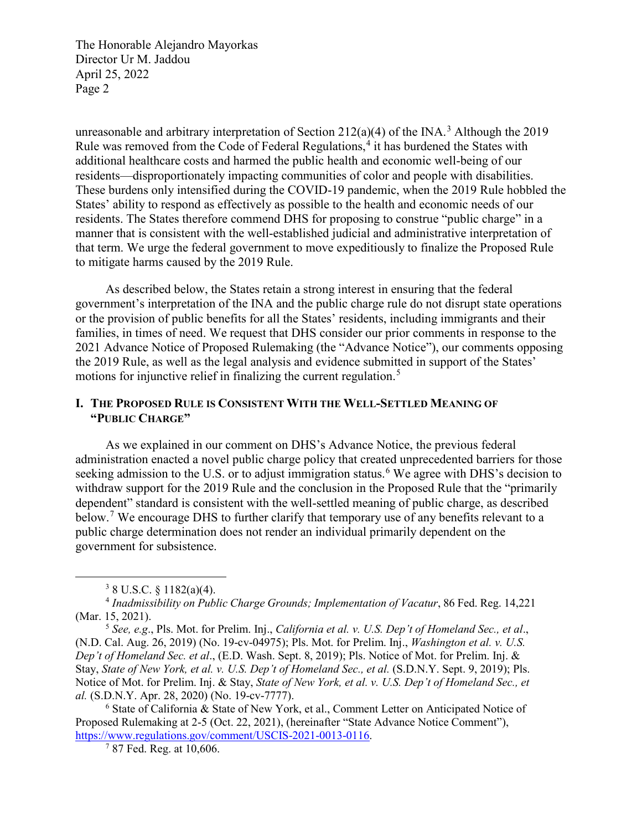unreasonable and arbitrary interpretation of Section 212(a)(4) of the INA.<sup>[3](#page-1-0)</sup> Although the 2019 Rule was removed from the Code of Federal Regulations,<sup>[4](#page-1-1)</sup> it has burdened the States with additional healthcare costs and harmed the public health and economic well-being of our residents—disproportionately impacting communities of color and people with disabilities. These burdens only intensified during the COVID-19 pandemic, when the 2019 Rule hobbled the States' ability to respond as effectively as possible to the health and economic needs of our residents. The States therefore commend DHS for proposing to construe "public charge" in a manner that is consistent with the well-established judicial and administrative interpretation of that term. We urge the federal government to move expeditiously to finalize the Proposed Rule to mitigate harms caused by the 2019 Rule.

As described below, the States retain a strong interest in ensuring that the federal government's interpretation of the INA and the public charge rule do not disrupt state operations or the provision of public benefits for all the States' residents, including immigrants and their families, in times of need. We request that DHS consider our prior comments in response to the 2021 Advance Notice of Proposed Rulemaking (the "Advance Notice"), our comments opposing the 2019 Rule, as well as the legal analysis and evidence submitted in support of the States' motions for injunctive relief in finalizing the current regulation.<sup>[5](#page-1-2)</sup>

#### **I. THE PROPOSED RULE IS CONSISTENT WITH THE WELL-SETTLED MEANING OF "PUBLIC CHARGE"**

As we explained in our comment on DHS's Advance Notice, the previous federal administration enacted a novel public charge policy that created unprecedented barriers for those seeking admission to the U.S. or to adjust immigration status.<sup>[6](#page-1-3)</sup> We agree with DHS's decision to withdraw support for the 2019 Rule and the conclusion in the Proposed Rule that the "primarily dependent" standard is consistent with the well-settled meaning of public charge, as described below.<sup>[7](#page-1-4)</sup> We encourage DHS to further clarify that temporary use of any benefits relevant to a public charge determination does not render an individual primarily dependent on the government for subsistence.

 $3$  8 U.S.C. § 1182(a)(4).

<span id="page-1-1"></span><span id="page-1-0"></span><sup>4</sup> *Inadmissibility on Public Charge Grounds; Implementation of Vacatur*, 86 Fed. Reg. 14,221 (Mar. 15, 2021).

<span id="page-1-2"></span><sup>5</sup> *See, e.g*., Pls. Mot. for Prelim. Inj., *California et al. v. U.S. Dep't of Homeland Sec., et al*., (N.D. Cal. Aug. 26, 2019) (No. 19-cv-04975); Pls. Mot. for Prelim. Inj., *Washington et al. v. U.S. Dep't of Homeland Sec. et al*., (E.D. Wash. Sept. 8, 2019); Pls. Notice of Mot. for Prelim. Inj. & Stay, *State of New York, et al. v. U.S. Dep't of Homeland Sec., et al.* (S.D.N.Y. Sept. 9, 2019); Pls. Notice of Mot. for Prelim. Inj. & Stay, *State of New York, et al. v. U.S. Dep't of Homeland Sec., et al.* (S.D.N.Y. Apr. 28, 2020) (No. 19-cv-7777).

<span id="page-1-4"></span><span id="page-1-3"></span><sup>6</sup> State of California & State of New York, et al., Comment Letter on Anticipated Notice of Proposed Rulemaking at 2-5 (Oct. 22, 2021), (hereinafter "State Advance Notice Comment"), https://www.regulations.gov/comment/USCIS-2021-0013-0116.<br><sup>7</sup> 87 Fed. Reg. at 10,606.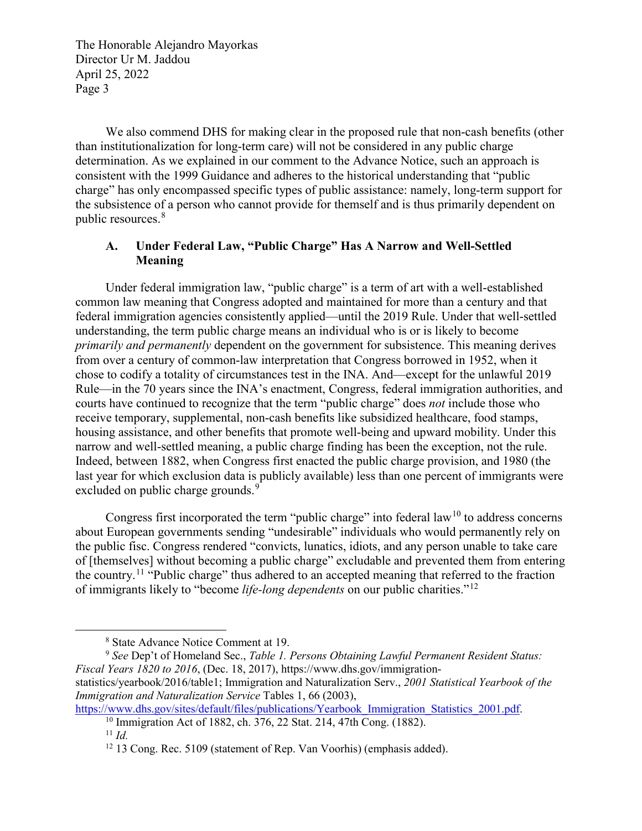We also commend DHS for making clear in the proposed rule that non-cash benefits (other than institutionalization for long-term care) will not be considered in any public charge determination. As we explained in our comment to the Advance Notice, such an approach is consistent with the 1999 Guidance and adheres to the historical understanding that "public charge" has only encompassed specific types of public assistance: namely, long-term support for the subsistence of a person who cannot provide for themself and is thus primarily dependent on public resources.[8](#page-2-0)

#### **A. Under Federal Law, "Public Charge" Has A Narrow and Well-Settled Meaning**

Under federal immigration law, "public charge" is a term of art with a well-established common law meaning that Congress adopted and maintained for more than a century and that federal immigration agencies consistently applied—until the 2019 Rule. Under that well-settled understanding, the term public charge means an individual who is or is likely to become *primarily and permanently* dependent on the government for subsistence. This meaning derives from over a century of common-law interpretation that Congress borrowed in 1952, when it chose to codify a totality of circumstances test in the INA. And—except for the unlawful 2019 Rule—in the 70 years since the INA's enactment, Congress, federal immigration authorities, and courts have continued to recognize that the term "public charge" does *not* include those who receive temporary, supplemental, non-cash benefits like subsidized healthcare, food stamps, housing assistance, and other benefits that promote well-being and upward mobility. Under this narrow and well-settled meaning, a public charge finding has been the exception, not the rule. Indeed, between 1882, when Congress first enacted the public charge provision, and 1980 (the last year for which exclusion data is publicly available) less than one percent of immigrants were excluded on public charge grounds.<sup>[9](#page-2-1)</sup>

Congress first incorporated the term "public charge" into federal law<sup>[10](#page-2-2)</sup> to address concerns about European governments sending "undesirable" individuals who would permanently rely on the public fisc. Congress rendered "convicts, lunatics, idiots, and any person unable to take care of [themselves] without becoming a public charge" excludable and prevented them from entering the country.[11](#page-2-3) "Public charge" thus adhered to an accepted meaning that referred to the fraction of immigrants likely to "become *life-long dependents* on our public charities."[12](#page-2-4)

 <sup>8</sup> State Advance Notice Comment at 19.

<span id="page-2-1"></span><span id="page-2-0"></span><sup>9</sup> *See* Dep't of Homeland Sec., *Table 1. Persons Obtaining Lawful Permanent Resident Status: Fiscal Years 1820 to 2016*, (Dec. 18, 2017), https://www.dhs.gov/immigrationstatistics/yearbook/2016/table1; Immigration and Naturalization Serv., *2001 Statistical Yearbook of the* 

*Immigration and Naturalization Service* Tables 1, 66 (2003),

<span id="page-2-4"></span><span id="page-2-3"></span><span id="page-2-2"></span>https://www.dhs.gov/sites/default/files/publications/Yearbook\_Immigration\_Statistics\_2001.pdf. <sup>10</sup> Immigration Act of 1882, ch. 376, 22 Stat. 214, 47th Cong. (1882).

<sup>11</sup> *Id.*

<sup>&</sup>lt;sup>12</sup> 13 Cong. Rec. 5109 (statement of Rep. Van Voorhis) (emphasis added).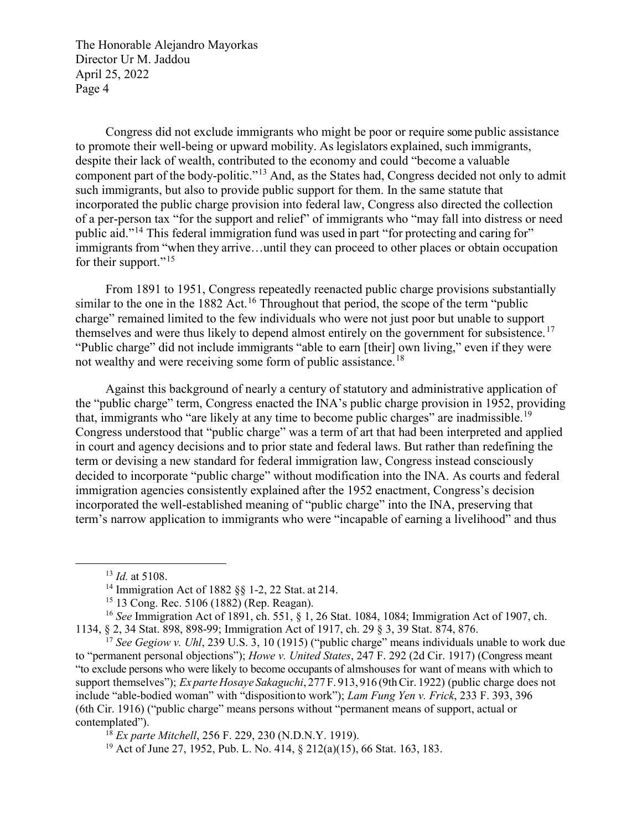Congress did not exclude immigrants who might be poor or require some public assistance to promote their well-being or upward mobility. As legislators explained, such immigrants, despite their lack of wealth, contributed to the economy and could "become a valuable component part of the body-politic."[13](#page-3-0) And, as the States had, Congress decided not only to admit such immigrants, but also to provide public support for them. In the same statute that incorporated the public charge provision into federal law, Congress also directed the collection of a per-person tax "for the support and relief" of immigrants who "may fall into distress or need public aid."[14](#page-3-1) This federal immigration fund was used in part "for protecting and caring for" immigrants from "when they arrive…until they can proceed to other places or obtain occupation for their support."<sup>[15](#page-3-2)</sup>

From 1891 to 1951, Congress repeatedly reenacted public charge provisions substantially similar to the one in the 1882 Act.<sup>[16](#page-3-3)</sup> Throughout that period, the scope of the term "public charge" remained limited to the few individuals who were not just poor but unable to support themselves and were thus likely to depend almost entirely on the government for subsistence.<sup>[17](#page-3-4)</sup> "Public charge" did not include immigrants "able to earn [their] own living," even if they were not wealthy and were receiving some form of public assistance.<sup>[18](#page-3-5)</sup>

Against this background of nearly a century of statutory and administrative application of the "public charge" term, Congress enacted the INA's public charge provision in 1952, providing that, immigrants who "are likely at any time to become public charges" are inadmissible.<sup>[19](#page-3-6)</sup> Congress understood that "public charge" was a term of art that had been interpreted and applied in court and agency decisions and to prior state and federal laws. But rather than redefining the term or devising a new standard for federal immigration law, Congress instead consciously decided to incorporate "public charge" without modification into the INA. As courts and federal immigration agencies consistently explained after the 1952 enactment, Congress's decision incorporated the well-established meaning of "public charge" into the INA, preserving that term's narrow application to immigrants who were "incapable of earning a livelihood" and thus

 <sup>13</sup> *Id.* at 5108.

<sup>14</sup> Immigration Act of 1882 §§ 1-2, 22 Stat. at 214.

<sup>15</sup> 13 Cong. Rec. 5106 (1882) (Rep. Reagan).

<span id="page-3-3"></span><span id="page-3-2"></span><span id="page-3-1"></span><span id="page-3-0"></span><sup>16</sup> *See* Immigration Act of 1891, ch. 551, § 1, 26 Stat. 1084, 1084; Immigration Act of 1907, ch. 1134, § 2, 34 Stat. 898, 898-99; Immigration Act of 1917, ch. 29 § 3, 39 Stat. 874, 876.

<span id="page-3-4"></span><sup>&</sup>lt;sup>17</sup> See Gegiow v. Uhl, 239 U.S. 3, 10 (1915) ("public charge" means individuals unable to work due to "permanent personal objections"); *Howe v. United States*, 247 F. 292 (2d Cir. 1917) (Congress meant "to exclude persons who were likely to become occupants of almshouses for want of means with which to support themselves"); *Ex parteHosaye Sakaguchi*, 277 F. 913, 916 (9thCir. 1922) (public charge does not include "able-bodied woman" with "dispositionto work"); *Lam Fung Yen v. Frick*, 233 F. 393, 396 (6th Cir. 1916) ("public charge" means persons without "permanent means of support, actual or contemplated").

<span id="page-3-5"></span><sup>18</sup> *Ex parte Mitchell*, 256 F. 229, 230 (N.D.N.Y. 1919).

<span id="page-3-6"></span><sup>19</sup> Act of June 27, 1952, Pub. L. No. 414, § 212(a)(15), 66 Stat. 163, 183.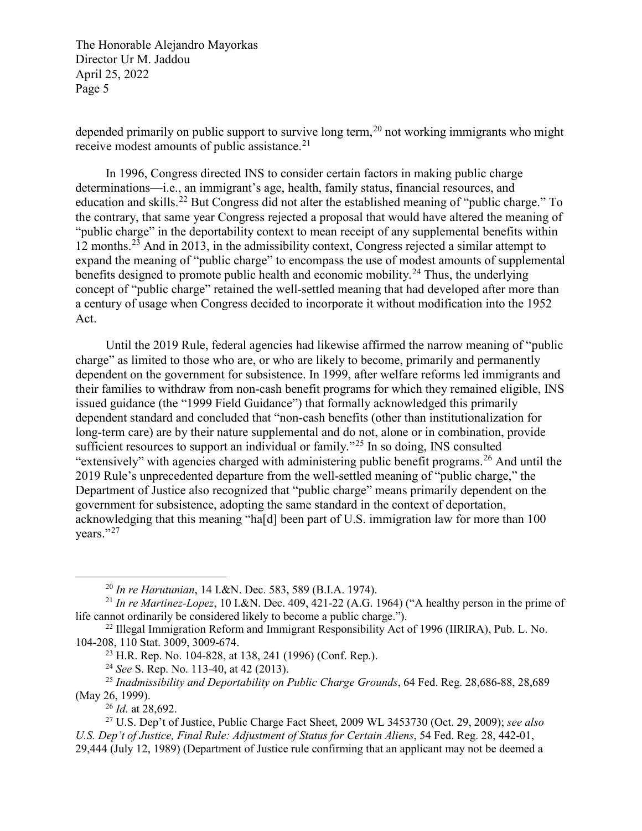depended primarily on public support to survive long term,<sup>[20](#page-4-0)</sup> not working immigrants who might receive modest amounts of public assistance. $2<sup>1</sup>$ 

In 1996, Congress directed INS to consider certain factors in making public charge determinations—i.e., an immigrant's age, health, family status, financial resources, and education and skills.<sup>[22](#page-4-2)</sup> But Congress did not alter the established meaning of "public charge." To the contrary, that same year Congress rejected a proposal that would have altered the meaning of "public charge" in the deportability context to mean receipt of any supplemental benefits within 12 months.[23](#page-4-3) And in 2013, in the admissibility context, Congress rejected a similar attempt to expand the meaning of "public charge" to encompass the use of modest amounts of supplemental benefits designed to promote public health and economic mobility.<sup>[24](#page-4-4)</sup> Thus, the underlying concept of "public charge" retained the well-settled meaning that had developed after more than a century of usage when Congress decided to incorporate it without modification into the 1952 Act.

Until the 2019 Rule, federal agencies had likewise affirmed the narrow meaning of "public charge" as limited to those who are, or who are likely to become, primarily and permanently dependent on the government for subsistence. In 1999, after welfare reforms led immigrants and their families to withdraw from non-cash benefit programs for which they remained eligible, INS issued guidance (the "1999 Field Guidance") that formally acknowledged this primarily dependent standard and concluded that "non-cash benefits (other than institutionalization for long-term care) are by their nature supplemental and do not, alone or in combination, provide sufficient resources to support an individual or family."<sup>[25](#page-4-5)</sup> In so doing, INS consulted "extensively" with agencies charged with administering public benefit programs.<sup>[26](#page-4-6)</sup> And until the 2019 Rule's unprecedented departure from the well-settled meaning of "public charge," the Department of Justice also recognized that "public charge" means primarily dependent on the government for subsistence, adopting the same standard in the context of deportation, acknowledging that this meaning "ha[d] been part of U.S. immigration law for more than 100 years."<sup>[27](#page-4-7)</sup>

<sup>24</sup> *See* S. Rep. No. 113-40, at 42 (2013).

<sup>26</sup> *Id.* at 28,692.

 <sup>20</sup> *In re Harutunian*, 14 I.&N. Dec. 583, 589 (B.I.A. 1974).

<span id="page-4-1"></span><span id="page-4-0"></span><sup>21</sup> *In re Martinez-Lopez*, 10 I.&N. Dec. 409, 421-22 (A.G. 1964) ("A healthy person in the prime of life cannot ordinarily be considered likely to become a public charge.").

<span id="page-4-3"></span><span id="page-4-2"></span><sup>22</sup> Illegal Immigration Reform and Immigrant Responsibility Act of 1996 (IIRIRA), Pub. L. No. 104-208, 110 Stat. 3009, 3009-674.

<sup>23</sup> H.R. Rep. No. 104-828, at 138, 241 (1996) (Conf. Rep.).

<span id="page-4-5"></span><span id="page-4-4"></span><sup>25</sup> *Inadmissibility and Deportability on Public Charge Grounds*, 64 Fed. Reg. 28,686-88, 28,689 (May 26, 1999).

<span id="page-4-7"></span><span id="page-4-6"></span><sup>27</sup> U.S. Dep't of Justice, Public Charge Fact Sheet, 2009 WL 3453730 (Oct. 29, 2009); *see also U.S. Dep't of Justice, Final Rule: Adjustment of Status for Certain Aliens*, 54 Fed. Reg. 28, 442-01, 29,444 (July 12, 1989) (Department of Justice rule confirming that an applicant may not be deemed a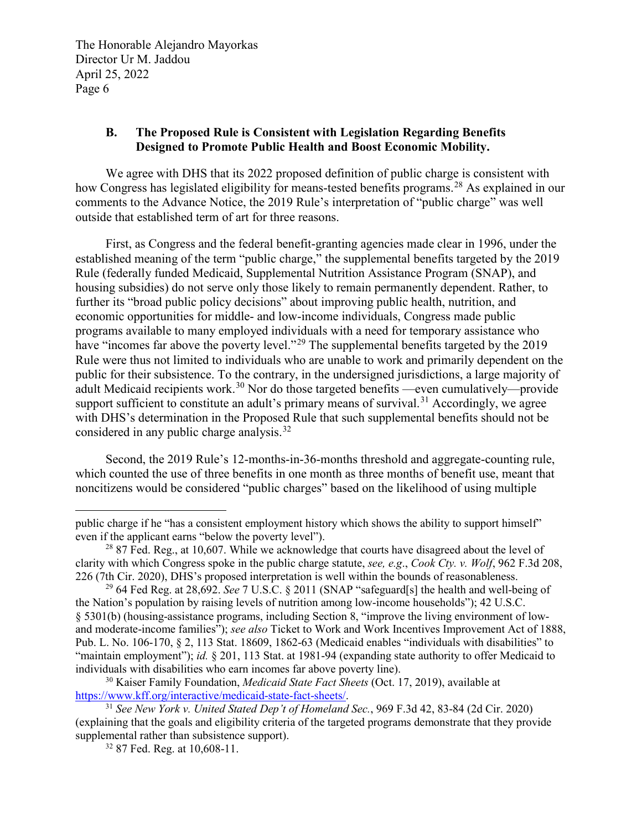#### **B. The Proposed Rule is Consistent with Legislation Regarding Benefits Designed to Promote Public Health and Boost Economic Mobility.**

We agree with DHS that its 2022 proposed definition of public charge is consistent with how Congress has legislated eligibility for means-tested benefits programs.<sup>[28](#page-5-0)</sup> As explained in our comments to the Advance Notice, the 2019 Rule's interpretation of "public charge" was well outside that established term of art for three reasons.

First, as Congress and the federal benefit-granting agencies made clear in 1996, under the established meaning of the term "public charge," the supplemental benefits targeted by the 2019 Rule (federally funded Medicaid, Supplemental Nutrition Assistance Program (SNAP), and housing subsidies) do not serve only those likely to remain permanently dependent. Rather, to further its "broad public policy decisions" about improving public health, nutrition, and economic opportunities for middle- and low-income individuals, Congress made public programs available to many employed individuals with a need for temporary assistance who have "incomes far above the poverty level."<sup>[29](#page-5-1)</sup> The supplemental benefits targeted by the 2019 Rule were thus not limited to individuals who are unable to work and primarily dependent on the public for their subsistence. To the contrary, in the undersigned jurisdictions, a large majority of adult Medicaid recipients work.<sup>[30](#page-5-2)</sup> Nor do those targeted benefits —even cumulatively—provide support sufficient to constitute an adult's primary means of survival.<sup>[31](#page-5-3)</sup> Accordingly, we agree with DHS's determination in the Proposed Rule that such supplemental benefits should not be considered in any public charge analysis.<sup>32</sup>

Second, the 2019 Rule's 12-months-in-36-months threshold and aggregate-counting rule, which counted the use of three benefits in one month as three months of benefit use, meant that noncitizens would be considered "public charges" based on the likelihood of using multiple

 $\overline{a}$ 

public charge if he "has a consistent employment history which shows the ability to support himself" even if the applicant earns "below the poverty level").

<span id="page-5-0"></span> $^{28}$  87 Fed. Reg., at 10,607. While we acknowledge that courts have disagreed about the level of clarity with which Congress spoke in the public charge statute, *see, e.g*., *Cook Cty. v. Wolf*, 962 F.3d 208, 226 (7th Cir. 2020), DHS's proposed interpretation is well within the bounds of reasonableness.

<span id="page-5-1"></span><sup>29</sup> 64 Fed Reg. at 28,692. *See* 7 U.S.C. § 2011 (SNAP "safeguard[s] the health and well-being of the Nation's population by raising levels of nutrition among low-income households"); 42 U.S.C. § 5301(b) (housing-assistance programs, including Section 8, "improve the living environment of lowand moderate-income families"); *see also* Ticket to Work and Work Incentives Improvement Act of 1888, Pub. L. No. 106-170, § 2, 113 Stat. 18609, 1862-63 (Medicaid enables "individuals with disabilities" to "maintain employment"); *id.* § 201, 113 Stat. at 1981-94 (expanding state authority to offer Medicaid to individuals with disabilities who earn incomes far above poverty line).

<span id="page-5-2"></span><sup>30</sup> Kaiser Family Foundation, *Medicaid State Fact Sheets* (Oct. 17, 2019), available at [https://www.kff.org/interactive/medicaid-state-fact-sheets/.](https://www.kff.org/interactive/medicaid-state-fact-sheets/) 31 *See New York v. United Stated Dep't of Homeland Sec.*, 969 F.3d 42, 83-84 (2d Cir. 2020)

<span id="page-5-4"></span><span id="page-5-3"></span><sup>(</sup>explaining that the goals and eligibility criteria of the targeted programs demonstrate that they provide supplemental rather than subsistence support).

<sup>&</sup>lt;sup>32</sup> 87 Fed. Reg. at 10,608-11.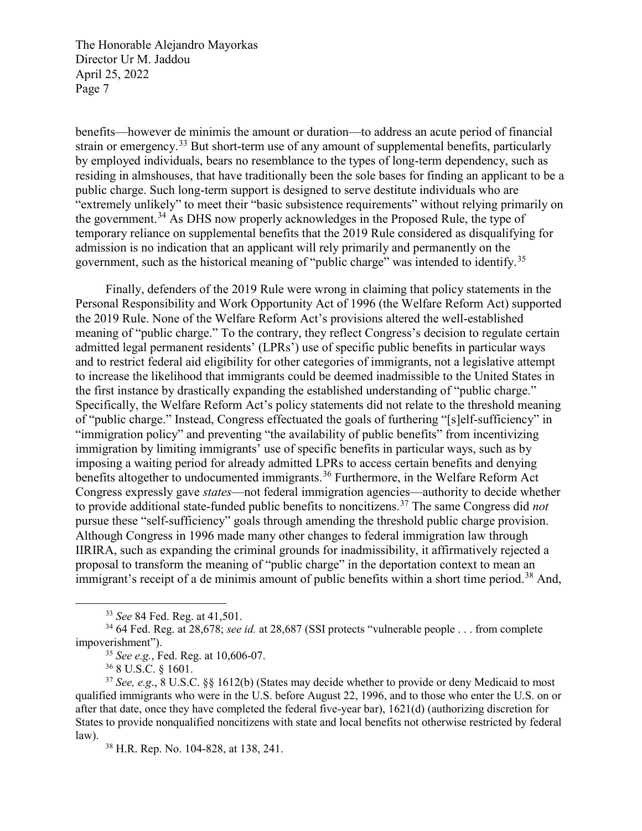benefits—however de minimis the amount or duration—to address an acute period of financial strain or emergency.<sup>[33](#page-6-0)</sup> But short-term use of any amount of supplemental benefits, particularly by employed individuals, bears no resemblance to the types of long-term dependency, such as residing in almshouses, that have traditionally been the sole bases for finding an applicant to be a public charge. Such long-term support is designed to serve destitute individuals who are "extremely unlikely" to meet their "basic subsistence requirements" without relying primarily on the government.<sup>[34](#page-6-1)</sup> As DHS now properly acknowledges in the Proposed Rule, the type of temporary reliance on supplemental benefits that the 2019 Rule considered as disqualifying for admission is no indication that an applicant will rely primarily and permanently on the government, such as the historical meaning of "public charge" was intended to identify.[35](#page-6-2) 

Finally, defenders of the 2019 Rule were wrong in claiming that policy statements in the Personal Responsibility and Work Opportunity Act of 1996 (the Welfare Reform Act) supported the 2019 Rule. None of the Welfare Reform Act's provisions altered the well-established meaning of "public charge." To the contrary, they reflect Congress's decision to regulate certain admitted legal permanent residents' (LPRs') use of specific public benefits in particular ways and to restrict federal aid eligibility for other categories of immigrants, not a legislative attempt to increase the likelihood that immigrants could be deemed inadmissible to the United States in the first instance by drastically expanding the established understanding of "public charge." Specifically, the Welfare Reform Act's policy statements did not relate to the threshold meaning of "public charge." Instead, Congress effectuated the goals of furthering "[s]elf-sufficiency" in "immigration policy" and preventing "the availability of public benefits" from incentivizing immigration by limiting immigrants' use of specific benefits in particular ways, such as by imposing a waiting period for already admitted LPRs to access certain benefits and denying benefits altogether to undocumented immigrants.<sup>[36](#page-6-3)</sup> Furthermore, in the Welfare Reform Act Congress expressly gave *states*—not federal immigration agencies—authority to decide whether to provide additional state-funded public benefits to noncitizens.[37](#page-6-4) The same Congress did *not*  pursue these "self-sufficiency" goals through amending the threshold public charge provision. Although Congress in 1996 made many other changes to federal immigration law through IIRIRA, such as expanding the criminal grounds for inadmissibility, it affirmatively rejected a proposal to transform the meaning of "public charge" in the deportation context to mean an immigrant's receipt of a de minimis amount of public benefits within a short time period.<sup>[38](#page-6-5)</sup> And,

<sup>35</sup> *See e.g.*, Fed. Reg. at 10,606-07.

<sup>36</sup> 8 U.S.C. § 1601.

<sup>38</sup> H.R. Rep. No. 104-828, at 138, 241.

 <sup>33</sup> *See* 84 Fed. Reg. at 41,501.

<span id="page-6-2"></span><span id="page-6-1"></span><span id="page-6-0"></span><sup>&</sup>lt;sup>34</sup> 64 Fed. Reg. at 28,678; *see id.* at 28,687 (SSI protects "vulnerable people . . . from complete impoverishment").

<span id="page-6-5"></span><span id="page-6-4"></span><span id="page-6-3"></span><sup>37</sup> *See, e.g*., 8 U.S.C. §§ 1612(b) (States may decide whether to provide or deny Medicaid to most qualified immigrants who were in the U.S. before August 22, 1996, and to those who enter the U.S. on or after that date, once they have completed the federal five-year bar), 1621(d) (authorizing discretion for States to provide nonqualified noncitizens with state and local benefits not otherwise restricted by federal law).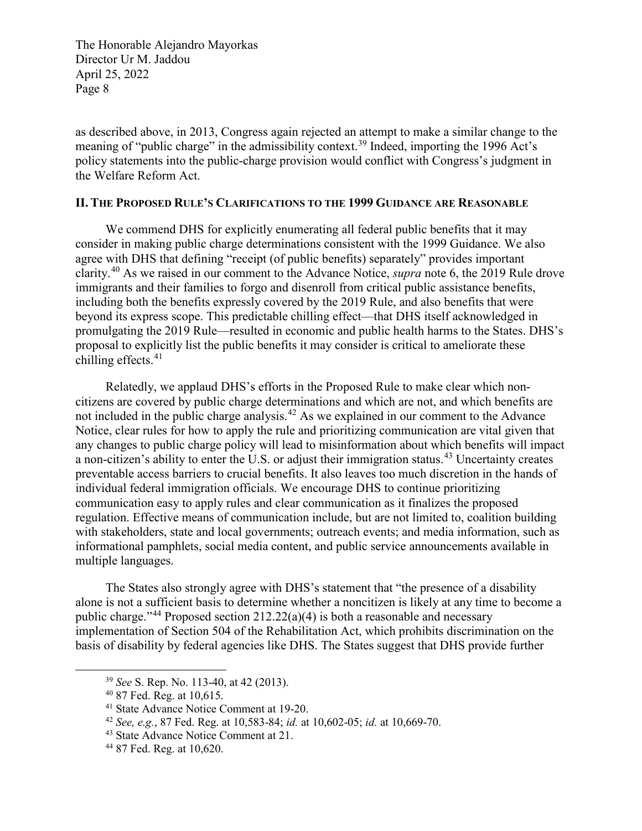as described above, in 2013, Congress again rejected an attempt to make a similar change to the meaning of "public charge" in the admissibility context.<sup>[39](#page-7-0)</sup> Indeed, importing the 1996 Act's policy statements into the public-charge provision would conflict with Congress's judgment in the Welfare Reform Act.

#### **II. THE PROPOSED RULE'S CLARIFICATIONS TO THE 1999 GUIDANCE ARE REASONABLE**

We commend DHS for explicitly enumerating all federal public benefits that it may consider in making public charge determinations consistent with the 1999 Guidance. We also agree with DHS that defining "receipt (of public benefits) separately" provides important clarity.[40](#page-7-1) As we raised in our comment to the Advance Notice, *supra* note 6, the 2019 Rule drove immigrants and their families to forgo and disenroll from critical public assistance benefits, including both the benefits expressly covered by the 2019 Rule, and also benefits that were beyond its express scope. This predictable chilling effect—that DHS itself acknowledged in promulgating the 2019 Rule—resulted in economic and public health harms to the States. DHS's proposal to explicitly list the public benefits it may consider is critical to ameliorate these chilling effects. [41](#page-7-2)

Relatedly, we applaud DHS's efforts in the Proposed Rule to make clear which noncitizens are covered by public charge determinations and which are not, and which benefits are not included in the public charge analysis.<sup>[42](#page-7-3)</sup> As we explained in our comment to the Advance Notice, clear rules for how to apply the rule and prioritizing communication are vital given that any changes to public charge policy will lead to misinformation about which benefits will impact a non-citizen's ability to enter the U.S. or adjust their immigration status.<sup>[43](#page-7-4)</sup> Uncertainty creates preventable access barriers to crucial benefits. It also leaves too much discretion in the hands of individual federal immigration officials. We encourage DHS to continue prioritizing communication easy to apply rules and clear communication as it finalizes the proposed regulation. Effective means of communication include, but are not limited to, coalition building with stakeholders, state and local governments; outreach events; and media information, such as informational pamphlets, social media content, and public service announcements available in multiple languages.

The States also strongly agree with DHS's statement that "the presence of a disability alone is not a sufficient basis to determine whether a noncitizen is likely at any time to become a public charge."<sup>[44](#page-7-5)</sup> Proposed section 212.22(a)(4) is both a reasonable and necessary implementation of Section 504 of the Rehabilitation Act, which prohibits discrimination on the basis of disability by federal agencies like DHS. The States suggest that DHS provide further

<span id="page-7-0"></span> <sup>39</sup> *See* S. Rep. No. 113-40, at 42 (2013).

<span id="page-7-1"></span><sup>40</sup> 87 Fed. Reg. at 10,615.

<span id="page-7-2"></span><sup>41</sup> State Advance Notice Comment at 19-20.

<span id="page-7-3"></span><sup>42</sup> *See, e.g.*, 87 Fed. Reg. at 10,583-84; *id.* at 10,602-05; *id.* at 10,669-70.

<span id="page-7-4"></span><sup>43</sup> State Advance Notice Comment at 21.

<span id="page-7-5"></span><sup>44</sup> 87 Fed. Reg. at 10,620.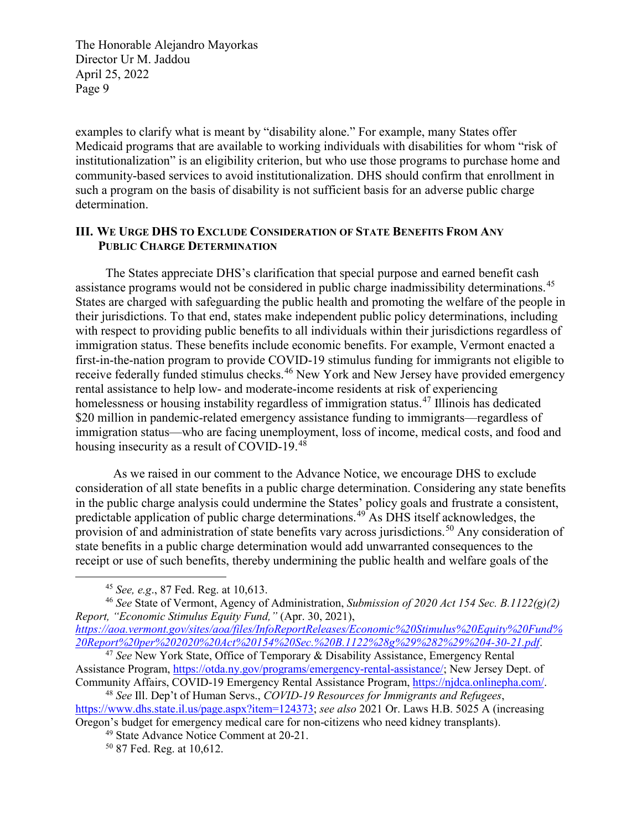examples to clarify what is meant by "disability alone." For example, many States offer Medicaid programs that are available to working individuals with disabilities for whom "risk of institutionalization" is an eligibility criterion, but who use those programs to purchase home and community-based services to avoid institutionalization. DHS should confirm that enrollment in such a program on the basis of disability is not sufficient basis for an adverse public charge determination.

#### **III. WE URGE DHS TO EXCLUDE CONSIDERATION OF STATE BENEFITS FROM ANY PUBLIC CHARGE DETERMINATION**

The States appreciate DHS's clarification that special purpose and earned benefit cash assistance programs would not be considered in public charge inadmissibility determinations.<sup>45</sup> States are charged with safeguarding the public health and promoting the welfare of the people in their jurisdictions. To that end, states make independent public policy determinations, including with respect to providing public benefits to all individuals within their jurisdictions regardless of immigration status. These benefits include economic benefits. For example, Vermont enacted a first-in-the-nation program to provide COVID-19 stimulus funding for immigrants not eligible to receive federally funded stimulus checks.<sup>[46](#page-8-1)</sup> New York and New Jersey have provided emergency rental assistance to help low- and moderate-income residents at risk of experiencing homelessness or housing instability regardless of immigration status.<sup>[47](#page-8-2)</sup> Illinois has dedicated \$20 million in pandemic-related emergency assistance funding to immigrants—regardless of immigration status—who are facing unemployment, loss of income, medical costs, and food and housing insecurity as a result of COVID-19.[48](#page-8-3)

As we raised in our comment to the Advance Notice, we encourage DHS to exclude consideration of all state benefits in a public charge determination. Considering any state benefits in the public charge analysis could undermine the States' policy goals and frustrate a consistent, predictable application of public charge determinations.<sup>[49](#page-8-4)</sup> As DHS itself acknowledges, the provision of and administration of state benefits vary across jurisdictions.<sup>[50](#page-8-5)</sup> Any consideration of state benefits in a public charge determination would add unwarranted consequences to the receipt or use of such benefits, thereby undermining the public health and welfare goals of the

 <sup>45</sup> *See, e.g*., 87 Fed. Reg. at 10,613.

<span id="page-8-1"></span><span id="page-8-0"></span><sup>46</sup> *See* State of Vermont, Agency of Administration, *Submission of 2020 Act 154 Sec. B.1122(g)(2) Report, "Economic Stimulus Equity Fund,"* (Apr. 30, 2021),

*[https://aoa.vermont.gov/sites/aoa/files/InfoReportReleases/Economic%20Stimulus%20Equity%20Fund%](https://aoa.vermont.gov/sites/aoa/files/InfoReportReleases/Economic%20Stimulus%20Equity%20Fund%20Report%20per%202020%20Act%20154%20Sec.%20B.1122%28g%29%282%29%204-30-21.pdf) [20Report%20per%202020%20Act%20154%20Sec.%20B.1122%28g%29%282%29%204-30-21.pdf](https://aoa.vermont.gov/sites/aoa/files/InfoReportReleases/Economic%20Stimulus%20Equity%20Fund%20Report%20per%202020%20Act%20154%20Sec.%20B.1122%28g%29%282%29%204-30-21.pdf)*.

<span id="page-8-2"></span><sup>47</sup> *See* New York State, Office of Temporary & Disability Assistance, Emergency Rental Assistance Program, [https://otda.ny.gov/programs/emergency-rental-assistance/;](https://otda.ny.gov/programs/emergency-rental-assistance/) New Jersey Dept. of Community Affairs, COVID-19 Emergency Rental Assistance Program, [https://njdca.onlinepha.com/.](https://urldefense.com/v3/__https:/njdca.onlinepha.com/__;!!J30X0ZrnC1oQtbA!P8HOiZ-bpnscCHb9M9IhjkdhOtH6HzLGgj3qg8NJnHNJZnNOej5jF6ltdDkC8BiPt-G3lLSWNSBozKqUS5K0owE4xsgAthvEfzQn$) 48 *See* Ill. Dep't of Human Servs., *COVID-19 Resources for Immigrants and Refugees*,

<span id="page-8-5"></span><span id="page-8-4"></span><span id="page-8-3"></span>[https://www.dhs.state.il.us/page.aspx?item=124373;](https://www.dhs.state.il.us/page.aspx?item=124373) *see also* 2021 Or. Laws H.B. 5025 A (increasing Oregon's budget for emergency medical care for non-citizens who need kidney transplants).

<sup>49</sup> State Advance Notice Comment at 20-21.

<sup>50</sup> 87 Fed. Reg. at 10,612.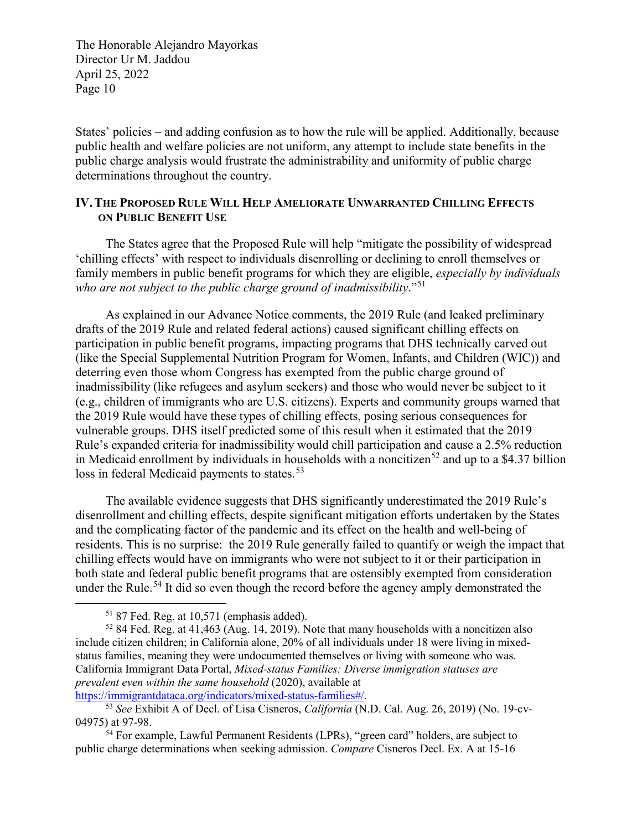States' policies – and adding confusion as to how the rule will be applied. Additionally, because public health and welfare policies are not uniform, any attempt to include state benefits in the public charge analysis would frustrate the administrability and uniformity of public charge determinations throughout the country.

#### **IV.THE PROPOSED RULE WILL HELP AMELIORATE UNWARRANTED CHILLING EFFECTS ON PUBLIC BENEFIT USE**

The States agree that the Proposed Rule will help "mitigate the possibility of widespread 'chilling effects' with respect to individuals disenrolling or declining to enroll themselves or family members in public benefit programs for which they are eligible, *especially by individuals who are not subject to the public charge ground of inadmissibility*."[51](#page-9-0)

As explained in our Advance Notice comments, the 2019 Rule (and leaked preliminary drafts of the 2019 Rule and related federal actions) caused significant chilling effects on participation in public benefit programs, impacting programs that DHS technically carved out (like the Special Supplemental Nutrition Program for Women, Infants, and Children (WIC)) and deterring even those whom Congress has exempted from the public charge ground of inadmissibility (like refugees and asylum seekers) and those who would never be subject to it (e.g., children of immigrants who are U.S. citizens). Experts and community groups warned that the 2019 Rule would have these types of chilling effects, posing serious consequences for vulnerable groups. DHS itself predicted some of this result when it estimated that the 2019 Rule's expanded criteria for inadmissibility would chill participation and cause a 2.5% reduction in Medicaid enrollment by individuals in households with a noncitizen<sup>[52](#page-9-1)</sup> and up to a \$4.37 billion loss in federal Medicaid payments to states.<sup>[53](#page-9-2)</sup>

The available evidence suggests that DHS significantly underestimated the 2019 Rule's disenrollment and chilling effects, despite significant mitigation efforts undertaken by the States and the complicating factor of the pandemic and its effect on the health and well-being of residents. This is no surprise: the 2019 Rule generally failed to quantify or weigh the impact that chilling effects would have on immigrants who were not subject to it or their participation in both state and federal public benefit programs that are ostensibly exempted from consideration under the Rule.<sup>[54](#page-9-3)</sup> It did so even though the record before the agency amply demonstrated the

 <sup>51</sup> 87 Fed. Reg. at 10,571 (emphasis added).

<span id="page-9-1"></span><span id="page-9-0"></span><sup>52</sup> 84 Fed. Reg. at 41,463 (Aug. 14, 2019). Note that many households with a noncitizen also include citizen children; in California alone, 20% of all individuals under 18 were living in mixedstatus families, meaning they were undocumented themselves or living with someone who was. California Immigrant Data Portal, *Mixed-status Families: Diverse immigration statuses are prevalent even within the same household* (2020), available at

<span id="page-9-2"></span>[https://immigrantdataca.org/indicators/mixed-status-families#/.](https://urldefense.com/v3/__https:/immigrantdataca.org/indicators/mixed-status-families*/__;Iw!!C5ewNI1kZw!GSQONzQu6QdUoUmIV2Ofu36Aofq7FRa52l-p4uLudt-aFMRuZadsraD-7wXF2U6ymr5WZbfxhcQ$) 53 *See* Exhibit A of Decl. of Lisa Cisneros, *California* (N.D. Cal. Aug. 26, 2019) (No. 19-cv-04975) at 97-98.

<span id="page-9-3"></span> $54$  For example, Lawful Permanent Residents (LPRs), "green card" holders, are subject to public charge determinations when seeking admission. *Compare* Cisneros Decl. Ex. A at 15-16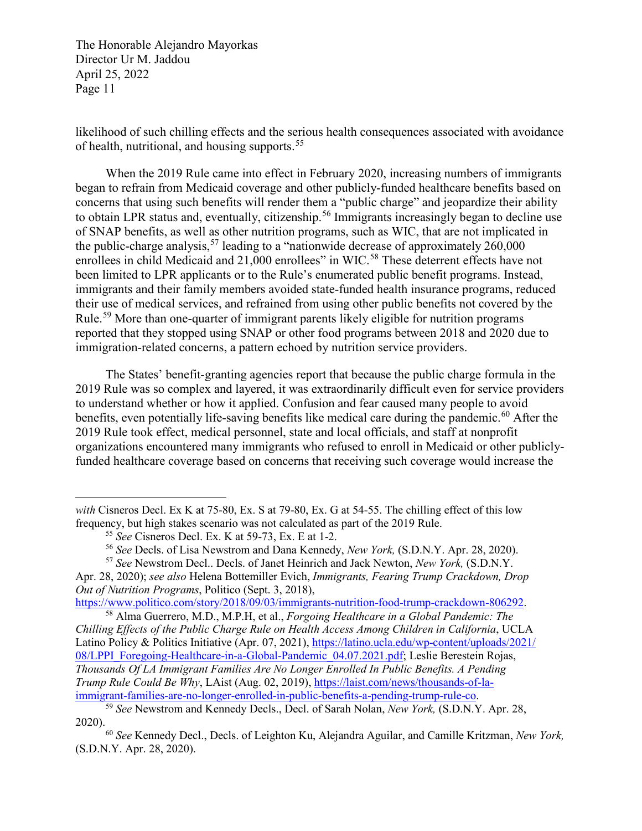likelihood of such chilling effects and the serious health consequences associated with avoidance of health, nutritional, and housing supports.<sup>[55](#page-10-0)</sup>

When the 2019 Rule came into effect in February 2020, increasing numbers of immigrants began to refrain from Medicaid coverage and other publicly-funded healthcare benefits based on concerns that using such benefits will render them a "public charge" and jeopardize their ability to obtain LPR status and, eventually, citizenship.<sup>[56](#page-10-1)</sup> Immigrants increasingly began to decline use of SNAP benefits, as well as other nutrition programs, such as WIC, that are not implicated in the public-charge analysis,<sup>[57](#page-10-2)</sup> leading to a "nationwide decrease of approximately  $260,000$ enrollees in child Medicaid and 21,000 enrollees" in WIC.<sup>[58](#page-10-3)</sup> These deterrent effects have not been limited to LPR applicants or to the Rule's enumerated public benefit programs. Instead, immigrants and their family members avoided state-funded health insurance programs, reduced their use of medical services, and refrained from using other public benefits not covered by the Rule.<sup>[59](#page-10-4)</sup> More than one-quarter of immigrant parents likely eligible for nutrition programs reported that they stopped using SNAP or other food programs between 2018 and 2020 due to immigration-related concerns, a pattern echoed by nutrition service providers.

The States' benefit-granting agencies report that because the public charge formula in the 2019 Rule was so complex and layered, it was extraordinarily difficult even for service providers to understand whether or how it applied. Confusion and fear caused many people to avoid benefits, even potentially life-saving benefits like medical care during the pandemic.<sup>[60](#page-10-5)</sup> After the 2019 Rule took effect, medical personnel, state and local officials, and staff at nonprofit organizations encountered many immigrants who refused to enroll in Medicaid or other publiclyfunded healthcare coverage based on concerns that receiving such coverage would increase the

 $\overline{a}$ 

<sup>58</sup> Alma Guerrero, M.D., M.P.H, et al., *Forgoing Healthcare in a Global Pandemic: The* 

<span id="page-10-3"></span>*Chilling Effects of the Public Charge Rule on Health Access Among Children in California*, UCLA Latino Policy & Politics Initiative (Apr. 07, 2021), [https://latino.ucla.edu/wp-content/uploads/2021/](https://latino.ucla.edu/wp-content/uploads/2021/08/LPPI_Foregoing-Healthcare-in-a-Global-Pandemic_04.07.2021.pdf) [08/LPPI\\_Foregoing-Healthcare-in-a-Global-Pandemic\\_04.07.2021.pdf;](https://latino.ucla.edu/wp-content/uploads/2021/08/LPPI_Foregoing-Healthcare-in-a-Global-Pandemic_04.07.2021.pdf) Leslie Berestein Rojas, *Thousands Of LA Immigrant Families Are No Longer Enrolled In Public Benefits. A Pending Trump Rule Could Be Why*, LAist (Aug. 02, 2019), [https://laist.com/news/thousands-of-la](https://laist.com/news/thousands-of-la-immigrant-families-are-no-longer-enrolled-in-public-benefits-a-pending-trump-rule-co)[immigrant-families-are-no-longer-enrolled-in-public-benefits-a-pending-trump-rule-co.](https://laist.com/news/thousands-of-la-immigrant-families-are-no-longer-enrolled-in-public-benefits-a-pending-trump-rule-co) 59 *See* Newstrom and Kennedy Decls., Decl. of Sarah Nolan, *New York,* (S.D.N.Y. Apr. 28,

<span id="page-10-0"></span>*with* Cisneros Decl. Ex K at 75-80, Ex. S at 79-80, Ex. G at 54-55. The chilling effect of this low frequency, but high stakes scenario was not calculated as part of the 2019 Rule.

<sup>55</sup> *See* Cisneros Decl. Ex. K at 59-73, Ex. E at 1-2.

<sup>56</sup> *See* Decls. of Lisa Newstrom and Dana Kennedy, *New York,* (S.D.N.Y. Apr. 28, 2020).

<sup>57</sup> *See* Newstrom Decl.. Decls. of Janet Heinrich and Jack Newton, *New York,* (S.D.N.Y.

<span id="page-10-2"></span><span id="page-10-1"></span>Apr. 28, 2020); *see also* Helena Bottemiller Evich, *Immigrants, Fearing Trump Crackdown, Drop Out of Nutrition Programs*, Politico (Sept. 3, 2018),<br>https://www.politico.com/story/2018/09/03/immigrants-nutrition-food-trump-crackdown-806292.

<span id="page-10-4"></span><sup>2020).</sup> 

<span id="page-10-5"></span><sup>60</sup> *See* Kennedy Decl., Decls. of Leighton Ku, Alejandra Aguilar, and Camille Kritzman, *New York,*  (S.D.N.Y. Apr. 28, 2020).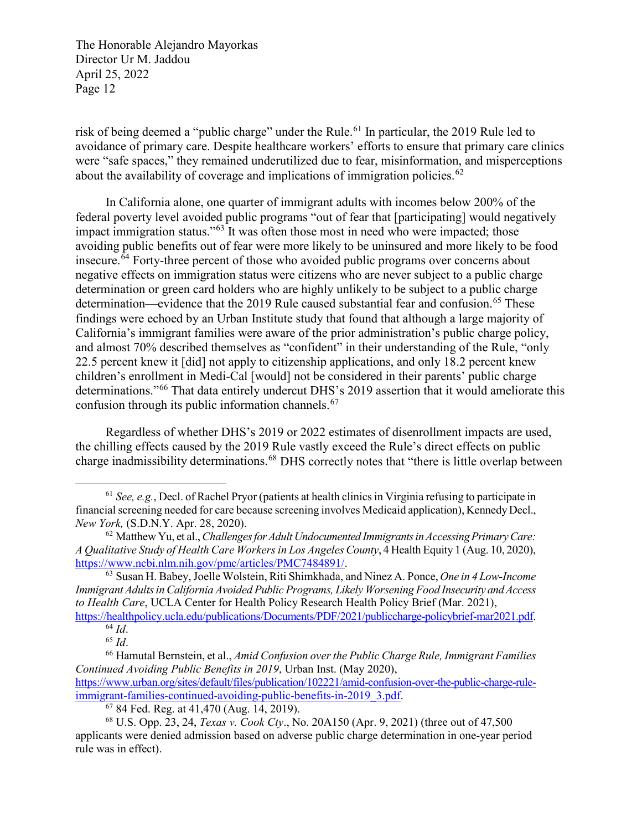risk of being deemed a "public charge" under the Rule.<sup>[61](#page-11-0)</sup> In particular, the 2019 Rule led to avoidance of primary care. Despite healthcare workers' efforts to ensure that primary care clinics were "safe spaces," they remained underutilized due to fear, misinformation, and misperceptions about the availability of coverage and implications of immigration policies.<sup>[62](#page-11-1)</sup>

In California alone, one quarter of immigrant adults with incomes below 200% of the federal poverty level avoided public programs "out of fear that [participating] would negatively impact immigration status."<sup>[63](#page-11-2)</sup> It was often those most in need who were impacted; those avoiding public benefits out of fear were more likely to be uninsured and more likely to be food insecure. $64$  Forty-three percent of those who avoided public programs over concerns about negative effects on immigration status were citizens who are never subject to a public charge determination or green card holders who are highly unlikely to be subject to a public charge determination—evidence that the 2019 Rule caused substantial fear and confusion.<sup>[65](#page-11-4)</sup> These findings were echoed by an Urban Institute study that found that although a large majority of California's immigrant families were aware of the prior administration's public charge policy, and almost 70% described themselves as "confident" in their understanding of the Rule, "only 22.5 percent knew it [did] not apply to citizenship applications, and only 18.2 percent knew children's enrollment in Medi-Cal [would] not be considered in their parents' public charge determinations."[66](#page-11-5) That data entirely undercut DHS's 2019 assertion that it would ameliorate this confusion through its public information channels. [67](#page-11-6)

Regardless of whether DHS's 2019 or 2022 estimates of disenrollment impacts are used, the chilling effects caused by the 2019 Rule vastly exceed the Rule's direct effects on public charge inadmissibility determinations.[68](#page-11-7) DHS correctly notes that "there is little overlap between

<span id="page-11-0"></span> <sup>61</sup> *See, e.g.*, Decl. of Rachel Pryor (patients at health clinics in Virginia refusing to participate in financial screening needed for care because screening involves Medicaid application), Kennedy Decl., *New York,* (S.D.N.Y. Apr. 28, 2020).

<span id="page-11-1"></span><sup>62</sup> Matthew Yu, et al., *Challenges for Adult Undocumented Immigrants in Accessing Primary Care: A Qualitative Study of Health Care Workers in Los Angeles County*, 4 Health Equity 1 (Aug. 10, 2020), [https://www.ncbi.nlm.nih.gov/pmc/articles/PMC7484891/.](https://www.ncbi.nlm.nih.gov/pmc/articles/PMC7484891/) 63 Susan H. Babey, Joelle Wolstein, Riti Shimkhada, and Ninez A. Ponce, *One in 4 Low-Income* 

<span id="page-11-2"></span>*Immigrant Adults in California Avoided Public Programs, Likely Worsening Food Insecurity and Access to Health Care*, UCLA Center for Health Policy Research Health Policy Brief (Mar. 2021),

<span id="page-11-3"></span>[https://healthpolicy.ucla.edu/publications/Documents/PDF/2021/publiccharge-policybrief-mar2021.pdf.](https://healthpolicy.ucla.edu/publications/Documents/PDF/2021/publiccharge-policybrief-mar2021.pdf)<br><sup>64</sup> *Id.*<br><sup>65</sup> *Id.* <sup>66</sup> Hamutal Bernstein. et al., *Amid Confusion over the Public Charge Rule, Immigrant Families* 

<span id="page-11-5"></span><span id="page-11-4"></span>*Continued Avoiding Public Benefits in 2019*, Urban Inst. (May 2020),

[https://www.urban.org/sites/default/files/publication/102221/amid-confusion-over-the-public-charge-rule](https://www.urban.org/sites/default/files/publication/102221/amid-confusion-over-the-public-charge-rule-immigrant-families-continued-avoiding-public-benefits-in-2019_3.pdf)[immigrant-families-continued-avoiding-public-benefits-in-2019\\_3.pdf.](https://www.urban.org/sites/default/files/publication/102221/amid-confusion-over-the-public-charge-rule-immigrant-families-continued-avoiding-public-benefits-in-2019_3.pdf) <sup>67</sup> 84 Fed. Reg. at 41,470 (Aug. 14, 2019).

<span id="page-11-7"></span><span id="page-11-6"></span><sup>68</sup> U.S. Opp. 23, 24, *Texas v. Cook Cty*., No. 20A150 (Apr. 9, 2021) (three out of 47,500 applicants were denied admission based on adverse public charge determination in one-year period rule was in effect).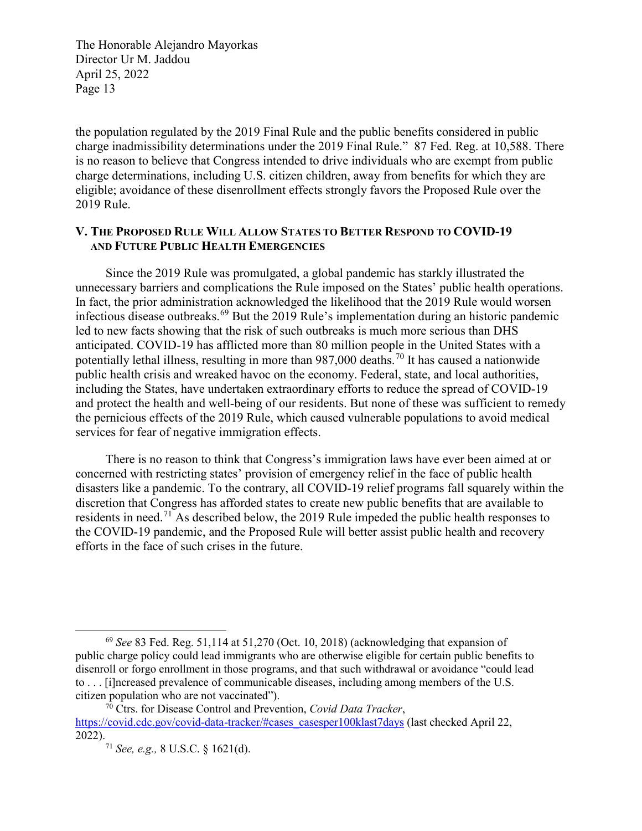the population regulated by the 2019 Final Rule and the public benefits considered in public charge inadmissibility determinations under the 2019 Final Rule." 87 Fed. Reg. at 10,588. There is no reason to believe that Congress intended to drive individuals who are exempt from public charge determinations, including U.S. citizen children, away from benefits for which they are eligible; avoidance of these disenrollment effects strongly favors the Proposed Rule over the 2019 Rule.

#### **V. THE PROPOSED RULE WILL ALLOW STATES TO BETTER RESPOND TO COVID-19 AND FUTURE PUBLIC HEALTH EMERGENCIES**

Since the 2019 Rule was promulgated, a global pandemic has starkly illustrated the unnecessary barriers and complications the Rule imposed on the States' public health operations. In fact, the prior administration acknowledged the likelihood that the 2019 Rule would worsen infectious disease outbreaks.[69](#page-12-0) But the 2019 Rule's implementation during an historic pandemic led to new facts showing that the risk of such outbreaks is much more serious than DHS anticipated. COVID-19 has afflicted more than 80 million people in the United States with a potentially lethal illness, resulting in more than 987,000 deaths.<sup>[70](#page-12-1)</sup> It has caused a nationwide public health crisis and wreaked havoc on the economy. Federal, state, and local authorities, including the States, have undertaken extraordinary efforts to reduce the spread of COVID-19 and protect the health and well-being of our residents. But none of these was sufficient to remedy the pernicious effects of the 2019 Rule, which caused vulnerable populations to avoid medical services for fear of negative immigration effects.

There is no reason to think that Congress's immigration laws have ever been aimed at or concerned with restricting states' provision of emergency relief in the face of public health disasters like a pandemic. To the contrary, all COVID-19 relief programs fall squarely within the discretion that Congress has afforded states to create new public benefits that are available to residents in need.<sup>[71](#page-12-2)</sup> As described below, the 2019 Rule impeded the public health responses to the COVID-19 pandemic, and the Proposed Rule will better assist public health and recovery efforts in the face of such crises in the future.

<span id="page-12-0"></span> <sup>69</sup> *See* 83 Fed. Reg. 51,114 at 51,270 (Oct. 10, 2018) (acknowledging that expansion of public charge policy could lead immigrants who are otherwise eligible for certain public benefits to disenroll or forgo enrollment in those programs, and that such withdrawal or avoidance "could lead to . . . [i]ncreased prevalence of communicable diseases, including among members of the U.S. citizen population who are not vaccinated").

<span id="page-12-2"></span><span id="page-12-1"></span><sup>70</sup> Ctrs. for Disease Control and Prevention, *Covid Data Tracker*, [https://covid.cdc.gov/covid-data-tracker/#cases\\_casesper100klast7days](https://covid.cdc.gov/covid-data-tracker/#cases_casesper100klast7days) (last checked April 22, 2022).

<sup>71</sup> *See, e.g.,* 8 U.S.C. § 1621(d).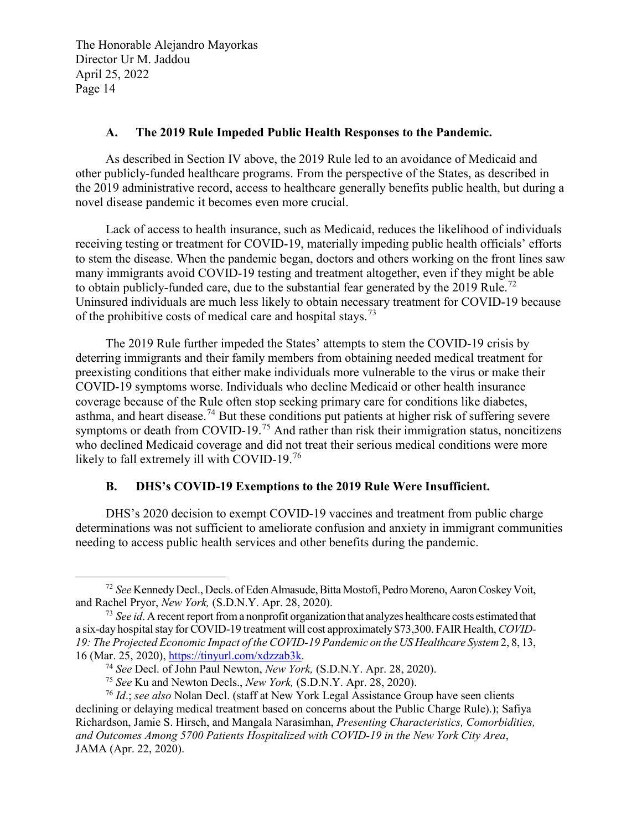#### **A. The 2019 Rule Impeded Public Health Responses to the Pandemic.**

As described in Section IV above, the 2019 Rule led to an avoidance of Medicaid and other publicly-funded healthcare programs. From the perspective of the States, as described in the 2019 administrative record, access to healthcare generally benefits public health, but during a novel disease pandemic it becomes even more crucial.

Lack of access to health insurance, such as Medicaid, reduces the likelihood of individuals receiving testing or treatment for COVID-19, materially impeding public health officials' efforts to stem the disease. When the pandemic began, doctors and others working on the front lines saw many immigrants avoid COVID-19 testing and treatment altogether, even if they might be able to obtain publicly-funded care, due to the substantial fear generated by the 2019 Rule.<sup>[72](#page-13-0)</sup> Uninsured individuals are much less likely to obtain necessary treatment for COVID-19 because of the prohibitive costs of medical care and hospital stays.<sup>[73](#page-13-1)</sup>

The 2019 Rule further impeded the States' attempts to stem the COVID-19 crisis by deterring immigrants and their family members from obtaining needed medical treatment for preexisting conditions that either make individuals more vulnerable to the virus or make their COVID-19 symptoms worse. Individuals who decline Medicaid or other health insurance coverage because of the Rule often stop seeking primary care for conditions like diabetes, asthma, and heart disease.<sup>[74](#page-13-2)</sup> But these conditions put patients at higher risk of suffering severe symptoms or death from COVID-19.<sup>[75](#page-13-3)</sup> And rather than risk their immigration status, noncitizens who declined Medicaid coverage and did not treat their serious medical conditions were more likely to fall extremely ill with COVID-19.<sup>[76](#page-13-4)</sup>

#### **B. DHS's COVID-19 Exemptions to the 2019 Rule Were Insufficient.**

DHS's 2020 decision to exempt COVID-19 vaccines and treatment from public charge determinations was not sufficient to ameliorate confusion and anxiety in immigrant communities needing to access public health services and other benefits during the pandemic.

<span id="page-13-0"></span> <sup>72</sup> *See* Kennedy Decl., Decls. of Eden Almasude, Bitta Mostofi, Pedro Moreno, Aaron Coskey Voit, and Rachel Pryor, *New York,* (S.D.N.Y. Apr. 28, 2020).

<span id="page-13-1"></span><sup>&</sup>lt;sup>73</sup> See id. A recent report from a nonprofit organization that analyzes healthcare costs estimated that a six-day hospital stay for COVID-19 treatment will cost approximately \$73,300. FAIR Health, *COVID-19: The Projected Economic Impact of the COVID-19 Pandemic on the US Healthcare System* 2, 8, 13, 16 (Mar. 25, 2020), [https://tinyurl.com/xdzzab3k.](https://tinyurl.com/xdzzab3k) 74 *See* Decl. of John Paul Newton, *New York,* (S.D.N.Y. Apr. 28, 2020).

<sup>75</sup> *See* Ku and Newton Decls., *New York,* (S.D.N.Y. Apr. 28, 2020).

<span id="page-13-4"></span><span id="page-13-3"></span><span id="page-13-2"></span><sup>76</sup> *Id*.; *see also* Nolan Decl. (staff at New York Legal Assistance Group have seen clients declining or delaying medical treatment based on concerns about the Public Charge Rule).); Safiya Richardson, Jamie S. Hirsch, and Mangala Narasimhan, *Presenting Characteristics, Comorbidities, and Outcomes Among 5700 Patients Hospitalized with COVID-19 in the New York City Area*, JAMA (Apr. 22, 2020).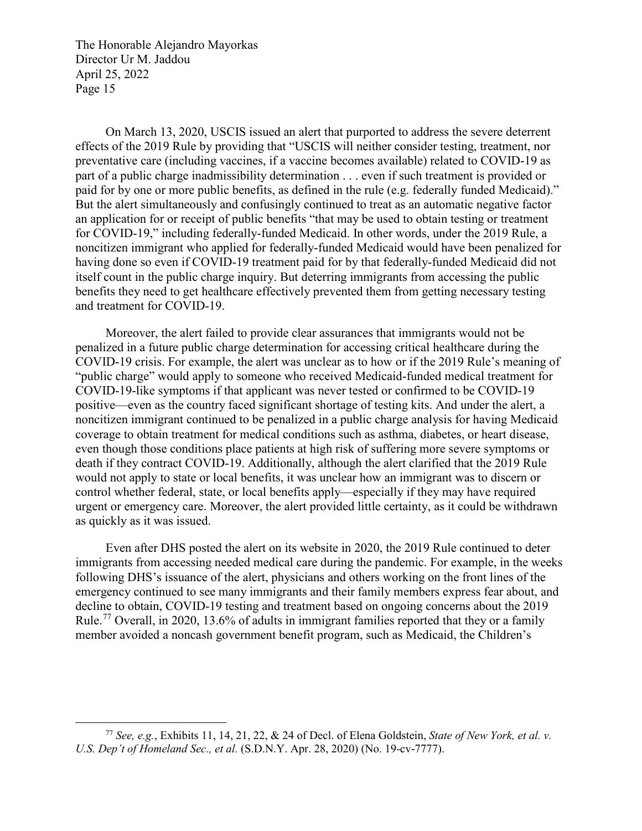On March 13, 2020, USCIS issued an alert that purported to address the severe deterrent effects of the 2019 Rule by providing that "USCIS will neither consider testing, treatment, nor preventative care (including vaccines, if a vaccine becomes available) related to COVID-19 as part of a public charge inadmissibility determination . . . even if such treatment is provided or paid for by one or more public benefits, as defined in the rule (e.g. federally funded Medicaid)." But the alert simultaneously and confusingly continued to treat as an automatic negative factor an application for or receipt of public benefits "that may be used to obtain testing or treatment for COVID-19," including federally-funded Medicaid. In other words, under the 2019 Rule, a noncitizen immigrant who applied for federally-funded Medicaid would have been penalized for having done so even if COVID-19 treatment paid for by that federally-funded Medicaid did not itself count in the public charge inquiry. But deterring immigrants from accessing the public benefits they need to get healthcare effectively prevented them from getting necessary testing and treatment for COVID-19.

Moreover, the alert failed to provide clear assurances that immigrants would not be penalized in a future public charge determination for accessing critical healthcare during the COVID-19 crisis. For example, the alert was unclear as to how or if the 2019 Rule's meaning of "public charge" would apply to someone who received Medicaid-funded medical treatment for COVID-19-like symptoms if that applicant was never tested or confirmed to be COVID-19 positive—even as the country faced significant shortage of testing kits. And under the alert, a noncitizen immigrant continued to be penalized in a public charge analysis for having Medicaid coverage to obtain treatment for medical conditions such as asthma, diabetes, or heart disease, even though those conditions place patients at high risk of suffering more severe symptoms or death if they contract COVID-19. Additionally, although the alert clarified that the 2019 Rule would not apply to state or local benefits, it was unclear how an immigrant was to discern or control whether federal, state, or local benefits apply—especially if they may have required urgent or emergency care. Moreover, the alert provided little certainty, as it could be withdrawn as quickly as it was issued.

Even after DHS posted the alert on its website in 2020, the 2019 Rule continued to deter immigrants from accessing needed medical care during the pandemic. For example, in the weeks following DHS's issuance of the alert, physicians and others working on the front lines of the emergency continued to see many immigrants and their family members express fear about, and decline to obtain, COVID-19 testing and treatment based on ongoing concerns about the 2019 Rule.<sup>[77](#page-14-0)</sup> Overall, in 2020, 13.6% of adults in immigrant families reported that they or a family member avoided a noncash government benefit program, such as Medicaid, the Children's

<span id="page-14-0"></span> <sup>77</sup> *See, e.g.*, Exhibits 11, 14, 21, 22, & 24 of Decl. of Elena Goldstein, *State of New York, et al. v. U.S. Dep't of Homeland Sec., et al.* (S.D.N.Y. Apr. 28, 2020) (No. 19-cv-7777).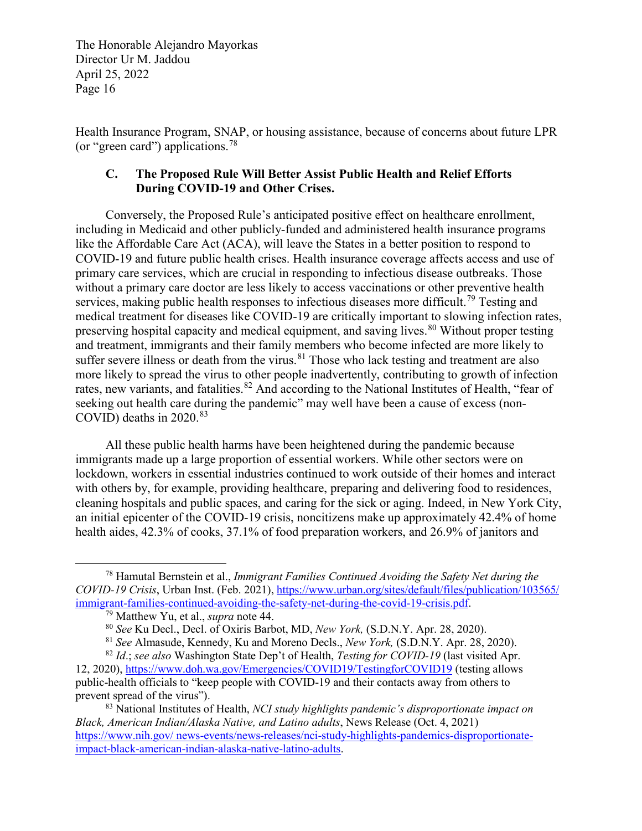Health Insurance Program, SNAP, or housing assistance, because of concerns about future LPR (or "green card") applications.[78](#page-15-0)

#### **C. The Proposed Rule Will Better Assist Public Health and Relief Efforts During COVID-19 and Other Crises.**

Conversely, the Proposed Rule's anticipated positive effect on healthcare enrollment, including in Medicaid and other publicly-funded and administered health insurance programs like the Affordable Care Act (ACA), will leave the States in a better position to respond to COVID-19 and future public health crises. Health insurance coverage affects access and use of primary care services, which are crucial in responding to infectious disease outbreaks. Those without a primary care doctor are less likely to access vaccinations or other preventive health services, making public health responses to infectious diseases more difficult.<sup>[79](#page-15-1)</sup> Testing and medical treatment for diseases like COVID-19 are critically important to slowing infection rates, preserving hospital capacity and medical equipment, and saving lives.<sup>[80](#page-15-2)</sup> Without proper testing and treatment, immigrants and their family members who become infected are more likely to suffer severe illness or death from the virus.<sup>[81](#page-15-3)</sup> Those who lack testing and treatment are also more likely to spread the virus to other people inadvertently, contributing to growth of infection rates, new variants, and fatalities.<sup>[82](#page-15-4)</sup> And according to the National Institutes of Health, "fear of seeking out health care during the pandemic" may well have been a cause of excess (non-COVID) deaths in  $2020.^{83}$  $2020.^{83}$  $2020.^{83}$ 

All these public health harms have been heightened during the pandemic because immigrants made up a large proportion of essential workers. While other sectors were on lockdown, workers in essential industries continued to work outside of their homes and interact with others by, for example, providing healthcare, preparing and delivering food to residences, cleaning hospitals and public spaces, and caring for the sick or aging. Indeed, in New York City, an initial epicenter of the COVID-19 crisis, noncitizens make up approximately 42.4% of home health aides, 42.3% of cooks, 37.1% of food preparation workers, and 26.9% of janitors and

<span id="page-15-1"></span><span id="page-15-0"></span> <sup>78</sup> Hamutal Bernstein et al., *Immigrant Families Continued Avoiding the Safety Net during the COVID-19 Crisis*, Urban Inst. (Feb. 2021), [https://www.urban.org/sites/default/files/publication/103565/](https://www.urban.org/sites/default/files/publication/103565/immigrant-families-continued-avoiding-the-safety-net-during-the-covid-19-crisis.pdf)<br>immigrant-families-continued-avoiding-the-safety-net-during-the-covid-19-crisis.pdf.

<sup>&</sup>lt;sup>79</sup> Matthew Yu, et al., *supra* note 44. **80** *See* Ku Decl., Decl. of Oxiris Barbot, MD, *New York*, **(S.D.N.Y. Apr. 28, 2020).** 

<sup>81</sup> *See* Almasude, Kennedy, Ku and Moreno Decls., *New York,* (S.D.N.Y. Apr. 28, 2020).

<span id="page-15-4"></span><span id="page-15-3"></span><span id="page-15-2"></span><sup>82</sup> *Id*.; *see also* Washington State Dep't of Health, *Testing for COVID-19* (last visited Apr. 12, 2020)[, https://www.doh.wa.gov/Emergencies/COVID19/TestingforCOVID19](https://www.doh.wa.gov/Emergencies/COVID19/TestingforCOVID19) (testing allows public-health officials to "keep people with COVID-19 and their contacts away from others to prevent spread of the virus").

<span id="page-15-5"></span><sup>83</sup> National Institutes of Health, *NCI study highlights pandemic's disproportionate impact on Black, American Indian/Alaska Native, and Latino adults*, News Release (Oct. 4, 2021) https://www.nih.gov/ [news-events/news-releases/nci-study-highlights-pandemics-disproportionate](https://www.nih.gov/news-events/news-releases/nci-study-highlights-pandemics-disproportionate-impact-black-american-indian-alaska-native-latino-adults)[impact-black-american-indian-alaska-native-latino-adults.](https://www.nih.gov/news-events/news-releases/nci-study-highlights-pandemics-disproportionate-impact-black-american-indian-alaska-native-latino-adults)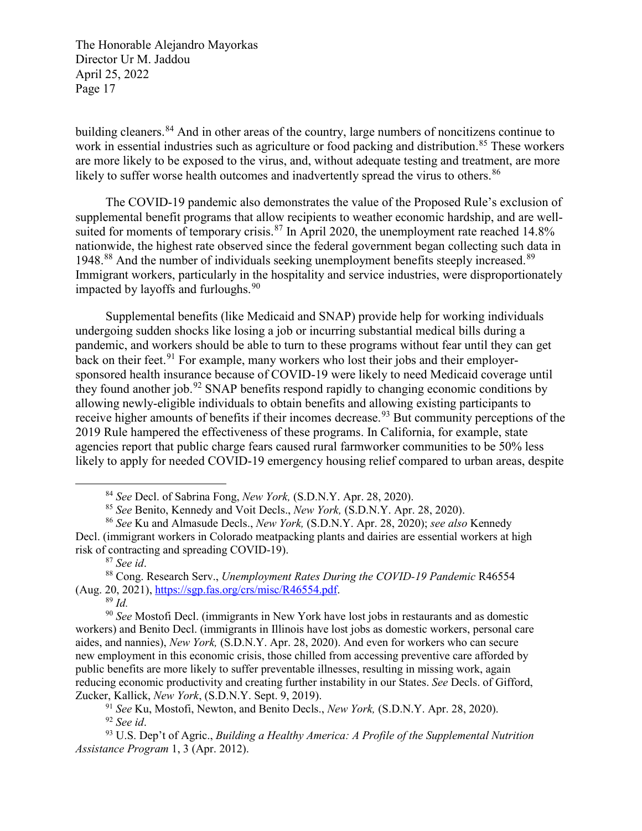building cleaners.<sup>[84](#page-16-0)</sup> And in other areas of the country, large numbers of noncitizens continue to work in essential industries such as agriculture or food packing and distribution.<sup>[85](#page-16-1)</sup> These workers are more likely to be exposed to the virus, and, without adequate testing and treatment, are more likely to suffer worse health outcomes and inadvertently spread the virus to others.<sup>[86](#page-16-2)</sup>

The COVID-19 pandemic also demonstrates the value of the Proposed Rule's exclusion of supplemental benefit programs that allow recipients to weather economic hardship, and are well-suited for moments of temporary crisis.<sup>[87](#page-16-3)</sup> In April 2020, the unemployment rate reached 14.8% nationwide, the highest rate observed since the federal government began collecting such data in 1948.<sup>[88](#page-16-4)</sup> And the number of individuals seeking unemployment benefits steeply increased.<sup>[89](#page-16-5)</sup> Immigrant workers, particularly in the hospitality and service industries, were disproportionately impacted by layoffs and furloughs. $90$ 

Supplemental benefits (like Medicaid and SNAP) provide help for working individuals undergoing sudden shocks like losing a job or incurring substantial medical bills during a pandemic, and workers should be able to turn to these programs without fear until they can get back on their feet.<sup>[91](#page-16-7)</sup> For example, many workers who lost their jobs and their employersponsored health insurance because of COVID-19 were likely to need Medicaid coverage until they found another job.<sup>[92](#page-16-8)</sup> SNAP benefits respond rapidly to changing economic conditions by allowing newly-eligible individuals to obtain benefits and allowing existing participants to receive higher amounts of benefits if their incomes decrease.<sup>[93](#page-16-9)</sup> But community perceptions of the 2019 Rule hampered the effectiveness of these programs. In California, for example, state agencies report that public charge fears caused rural farmworker communities to be 50% less likely to apply for needed COVID-19 emergency housing relief compared to urban areas, despite

 <sup>84</sup> *See* Decl. of Sabrina Fong, *New York,* (S.D.N.Y. Apr. 28, 2020).

<sup>85</sup> *See* Benito, Kennedy and Voit Decls., *New York,* (S.D.N.Y. Apr. 28, 2020).

<span id="page-16-2"></span><span id="page-16-1"></span><span id="page-16-0"></span><sup>86</sup> *See* Ku and Almasude Decls., *New York,* (S.D.N.Y. Apr. 28, 2020); *see also* Kennedy Decl. (immigrant workers in Colorado meatpacking plants and dairies are essential workers at high risk of contracting and spreading COVID-19).<br><sup>87</sup> See id.

<span id="page-16-4"></span><span id="page-16-3"></span><sup>&</sup>lt;sup>88</sup> Cong. Research Serv., *Unemployment Rates During the COVID-19 Pandemic* R46554 (Aug. 20, 2021), [https://sgp.fas.org/crs/misc/R46554.pdf.](https://sgp.fas.org/crs/misc/R46554.pdf) 89 *Id.*

<span id="page-16-6"></span><span id="page-16-5"></span><sup>90</sup> *See* Mostofi Decl. (immigrants in New York have lost jobs in restaurants and as domestic workers) and Benito Decl. (immigrants in Illinois have lost jobs as domestic workers, personal care aides, and nannies), *New York,* (S.D.N.Y. Apr. 28, 2020). And even for workers who can secure new employment in this economic crisis, those chilled from accessing preventive care afforded by public benefits are more likely to suffer preventable illnesses, resulting in missing work, again reducing economic productivity and creating further instability in our States. *See* Decls. of Gifford, Zucker, Kallick, *New York*, (S.D.N.Y. Sept. 9, 2019).

<sup>&</sup>lt;sup>91</sup> See Ku, Mostofi, Newton, and Benito Decls., *New York*, (S.D.N.Y. Apr. 28, 2020).<br><sup>92</sup> See id.

<span id="page-16-9"></span><span id="page-16-8"></span><span id="page-16-7"></span><sup>&</sup>lt;sup>93</sup> U.S. Dep't of Agric., *Building a Healthy America: A Profile of the Supplemental Nutrition Assistance Program* 1, 3 (Apr. 2012).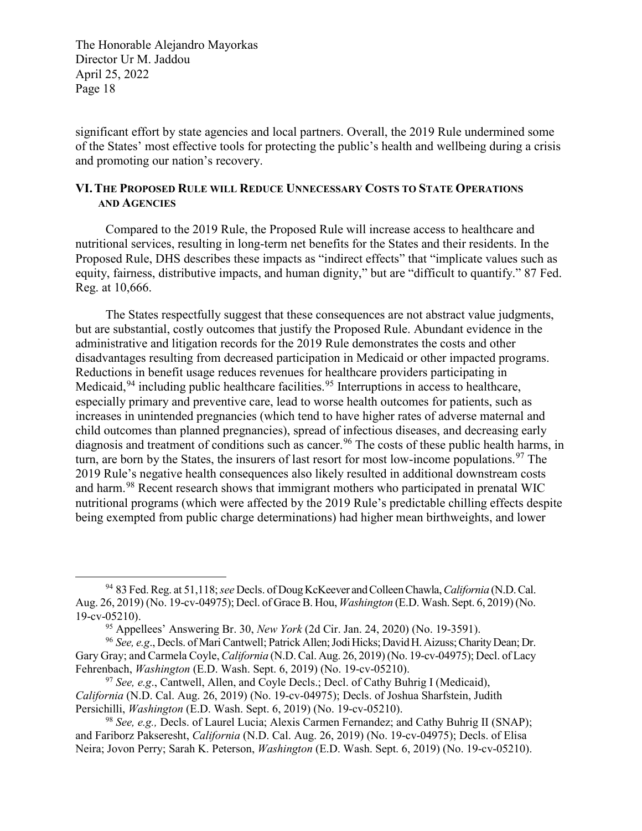significant effort by state agencies and local partners. Overall, the 2019 Rule undermined some of the States' most effective tools for protecting the public's health and wellbeing during a crisis and promoting our nation's recovery.

#### **VI.THE PROPOSED RULE WILL REDUCE UNNECESSARY COSTS TO STATE OPERATIONS AND AGENCIES**

Compared to the 2019 Rule, the Proposed Rule will increase access to healthcare and nutritional services, resulting in long-term net benefits for the States and their residents. In the Proposed Rule, DHS describes these impacts as "indirect effects" that "implicate values such as equity, fairness, distributive impacts, and human dignity," but are "difficult to quantify." 87 Fed. Reg. at 10,666.

The States respectfully suggest that these consequences are not abstract value judgments, but are substantial, costly outcomes that justify the Proposed Rule. Abundant evidence in the administrative and litigation records for the 2019 Rule demonstrates the costs and other disadvantages resulting from decreased participation in Medicaid or other impacted programs. Reductions in benefit usage reduces revenues for healthcare providers participating in Medicaid,  $94$  including public healthcare facilities.  $95$  Interruptions in access to healthcare, especially primary and preventive care, lead to worse health outcomes for patients, such as increases in unintended pregnancies (which tend to have higher rates of adverse maternal and child outcomes than planned pregnancies), spread of infectious diseases, and decreasing early diagnosis and treatment of conditions such as cancer.<sup>[96](#page-17-2)</sup> The costs of these public health harms, in turn, are born by the States, the insurers of last resort for most low-income populations.  $97$  The 2019 Rule's negative health consequences also likely resulted in additional downstream costs and harm.<sup>[98](#page-17-4)</sup> Recent research shows that immigrant mothers who participated in prenatal WIC nutritional programs (which were affected by the 2019 Rule's predictable chilling effects despite being exempted from public charge determinations) had higher mean birthweights, and lower

<span id="page-17-0"></span> <sup>94</sup> 83 Fed. Reg. at 51,118; *see* Decls. of Doug KcKeever and Colleen Chawla,*California* (N.D. Cal. Aug. 26, 2019) (No. 19-cv-04975); Decl. of Grace B. Hou, *Washington* (E.D. Wash. Sept. 6, 2019) (No. 19-cv-05210).<br><sup>95</sup> Appellees' Answering Br. 30, *New York* (2d Cir. Jan. 24, 2020) (No. 19-3591).

<span id="page-17-2"></span><span id="page-17-1"></span><sup>&</sup>lt;sup>96</sup> See, e.g., Decls. of Mari Cantwell; Patrick Allen; Jodi Hicks; David H. Aizuss; Charity Dean; Dr. Gary Gray; and Carmela Coyle,*California* (N.D. Cal. Aug. 26, 2019) (No. 19-cv-04975); Decl. of Lacy Fehrenbach, *Washington* (E.D. Wash. Sept. 6, 2019) (No. 19-cv-05210).

<span id="page-17-3"></span><sup>97</sup> *See, e.g*., Cantwell, Allen, and Coyle Decls.; Decl. of Cathy Buhrig I (Medicaid), *California* (N.D. Cal. Aug. 26, 2019) (No. 19-cv-04975); Decls. of Joshua Sharfstein, Judith Persichilli, *Washington* (E.D. Wash. Sept. 6, 2019) (No. 19-cv-05210).

<span id="page-17-4"></span><sup>98</sup> *See, e.g.,* Decls. of Laurel Lucia; Alexis Carmen Fernandez; and Cathy Buhrig II (SNAP); and Fariborz Pakseresht, *California* (N.D. Cal. Aug. 26, 2019) (No. 19-cv-04975); Decls. of Elisa Neira; Jovon Perry; Sarah K. Peterson, *Washington* (E.D. Wash. Sept. 6, 2019) (No. 19-cv-05210).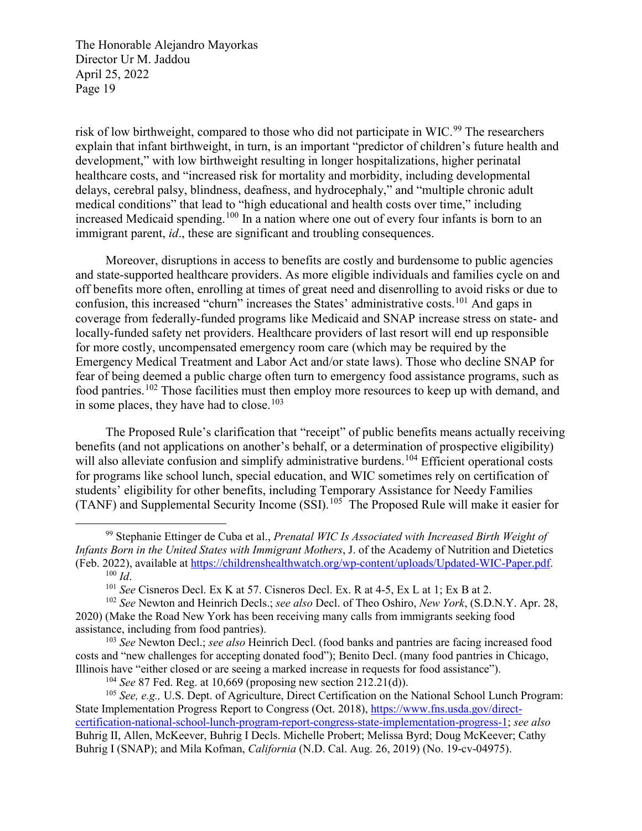risk of low birthweight, compared to those who did not participate in WIC.<sup>[99](#page-18-0)</sup> The researchers explain that infant birthweight, in turn, is an important "predictor of children's future health and development," with low birthweight resulting in longer hospitalizations, higher perinatal healthcare costs, and "increased risk for mortality and morbidity, including developmental delays, cerebral palsy, blindness, deafness, and hydrocephaly," and "multiple chronic adult medical conditions" that lead to "high educational and health costs over time," including increased Medicaid spending.<sup>[100](#page-18-1)</sup> In a nation where one out of every four infants is born to an immigrant parent, *id*., these are significant and troubling consequences.

Moreover, disruptions in access to benefits are costly and burdensome to public agencies and state-supported healthcare providers. As more eligible individuals and families cycle on and off benefits more often, enrolling at times of great need and disenrolling to avoid risks or due to confusion, this increased "churn" increases the States' administrative costs.<sup>[101](#page-18-2)</sup> And gaps in coverage from federally-funded programs like Medicaid and SNAP increase stress on state- and locally-funded safety net providers. Healthcare providers of last resort will end up responsible for more costly, uncompensated emergency room care (which may be required by the Emergency Medical Treatment and Labor Act and/or state laws). Those who decline SNAP for fear of being deemed a public charge often turn to emergency food assistance programs, such as food pantries.<sup>[102](#page-18-3)</sup> Those facilities must then employ more resources to keep up with demand, and in some places, they have had to close.<sup>[103](#page-18-4)</sup>

The Proposed Rule's clarification that "receipt" of public benefits means actually receiving benefits (and not applications on another's behalf, or a determination of prospective eligibility) will also alleviate confusion and simplify administrative burdens.<sup>[104](#page-18-5)</sup> Efficient operational costs for programs like school lunch, special education, and WIC sometimes rely on certification of students' eligibility for other benefits, including Temporary Assistance for Needy Families (TANF) and Supplemental Security Income (SSI).<sup>105</sup> The Proposed Rule will make it easier for

<span id="page-18-4"></span><sup>103</sup> *See* Newton Decl.; *see also* Heinrich Decl. (food banks and pantries are facing increased food costs and "new challenges for accepting donated food"); Benito Decl. (many food pantries in Chicago, Illinois have "either closed or are seeing a marked increase in requests for food assistance").

<sup>104</sup> *See* 87 Fed. Reg. at 10,669 (proposing new section 212.21(d)).

<span id="page-18-6"></span><span id="page-18-5"></span><sup>105</sup> *See, e.g.,* U.S. Dept. of Agriculture, Direct Certification on the National School Lunch Program: State Implementation Progress Report to Congress (Oct. 2018), https://www.fns.usda.gov/directcertification-national-school-lunch-program-report-congress-state-implementation-progress-1; *see also*  Buhrig II, Allen, McKeever, Buhrig I Decls. Michelle Probert; Melissa Byrd; Doug McKeever; Cathy Buhrig I (SNAP); and Mila Kofman, *California* (N.D. Cal. Aug. 26, 2019) (No. 19-cv-04975).

<span id="page-18-0"></span> <sup>99</sup> Stephanie Ettinger de Cuba et al., *Prenatal WIC Is Associated with Increased Birth Weight of Infants Born in the United States with Immigrant Mothers*, J. of the Academy of Nutrition and Dietetics (Feb. 2022), available at [https://childrenshealthwatch.org/wp-content/uploads/Updated-WIC-Paper.pdf.](https://childrenshealthwatch.org/wp-content/uploads/Updated-WIC-Paper.pdf) 100 *Id*. 101 *See* Cisneros Decl. Ex K at 57. Cisneros Decl. Ex. R at 4-5, Ex L at 1; Ex B at 2.

<span id="page-18-3"></span><span id="page-18-2"></span><span id="page-18-1"></span><sup>102</sup> *See* Newton and Heinrich Decls.; *see also* Decl. of Theo Oshiro, *New York*, (S.D.N.Y. Apr. 28, 2020) (Make the Road New York has been receiving many calls from immigrants seeking food assistance, including from food pantries).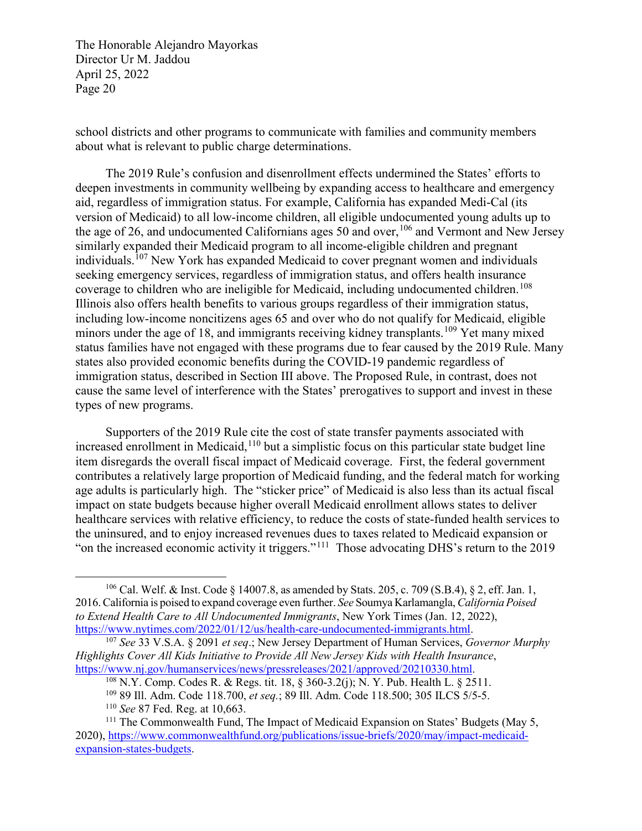school districts and other programs to communicate with families and community members about what is relevant to public charge determinations.

The 2019 Rule's confusion and disenrollment effects undermined the States' efforts to deepen investments in community wellbeing by expanding access to healthcare and emergency aid, regardless of immigration status. For example, California has expanded Medi-Cal (its version of Medicaid) to all low-income children, all eligible undocumented young adults up to the age of 26, and undocumented Californians ages 50 and over,  $^{106}$  $^{106}$  $^{106}$  and Vermont and New Jersey similarly expanded their Medicaid program to all income-eligible children and pregnant individuals.<sup>[107](#page-19-1)</sup> New York has expanded Medicaid to cover pregnant women and individuals seeking emergency services, regardless of immigration status, and offers health insurance coverage to children who are ineligible for Medicaid, including undocumented children.<sup>[108](#page-19-2)</sup> Illinois also offers health benefits to various groups regardless of their immigration status, including low-income noncitizens ages 65 and over who do not qualify for Medicaid, eligible minors under the age of 18, and immigrants receiving kidney transplants.<sup>[109](#page-19-3)</sup> Yet many mixed status families have not engaged with these programs due to fear caused by the 2019 Rule. Many states also provided economic benefits during the COVID-19 pandemic regardless of immigration status, described in Section III above. The Proposed Rule, in contrast, does not cause the same level of interference with the States' prerogatives to support and invest in these types of new programs.

Supporters of the 2019 Rule cite the cost of state transfer payments associated with increased enrollment in Medicaid,  $110$  but a simplistic focus on this particular state budget line item disregards the overall fiscal impact of Medicaid coverage. First, the federal government contributes a relatively large proportion of Medicaid funding, and the federal match for working age adults is particularly high. The "sticker price" of Medicaid is also less than its actual fiscal impact on state budgets because higher overall Medicaid enrollment allows states to deliver healthcare services with relative efficiency, to reduce the costs of state-funded health services to the uninsured, and to enjoy increased revenues dues to taxes related to Medicaid expansion or "on the increased economic activity it triggers."[111](#page-19-5) Those advocating DHS's return to the 2019

<span id="page-19-0"></span> <sup>106</sup> Cal. Welf. & Inst. Code § 14007.8, as amended by Stats. 205, c. 709 (S.B.4), § 2, eff. Jan. 1, 2016. California is poised to expand coverage even further. *See* Soumya Karlamangla, *California Poised to Extend Health Care to All Undocumented Immigrants*, New York Times (Jan. 12, 2022), [https://www.nytimes.com/2022/01/12/us/health-care-undocumented-immigrants.html.](https://www.nytimes.com/2022/01/12/us/health-care-undocumented-immigrants.html) 107 *See* 33 V.S.A. § 2091 *et seq*.; New Jersey Department of Human Services, *Governor Murphy*

<span id="page-19-1"></span>*Highlights Cover All Kids Initiative to Provide All New Jersey Kids with Health Insurance*, https://www.nj.gov/humanservices/news/pressreleases/2021/approved/20210330.html.<br><sup>108</sup> N.Y. Comp. Codes R. & Regs. tit. 18, § 360-3.2(j); N. Y. Pub. Health L. § 2511.

<sup>109</sup> 89 Ill. Adm. Code 118.700, *et seq.*; 89 Ill. Adm. Code 118.500; 305 ILCS 5/5-5.

<sup>110</sup> *See* 87 Fed. Reg. at 10,663.

<span id="page-19-5"></span><span id="page-19-4"></span><span id="page-19-3"></span><span id="page-19-2"></span><sup>&</sup>lt;sup>111</sup> The Commonwealth Fund, The Impact of Medicaid Expansion on States' Budgets (May 5, 2020), [https://www.commonwealthfund.org/publications/issue-briefs/2020/may/impact-medicaid](https://www.commonwealthfund.org/publications/issue-briefs/2020/may/impact-medicaid-expansion-states-budgets)[expansion-states-budgets.](https://www.commonwealthfund.org/publications/issue-briefs/2020/may/impact-medicaid-expansion-states-budgets)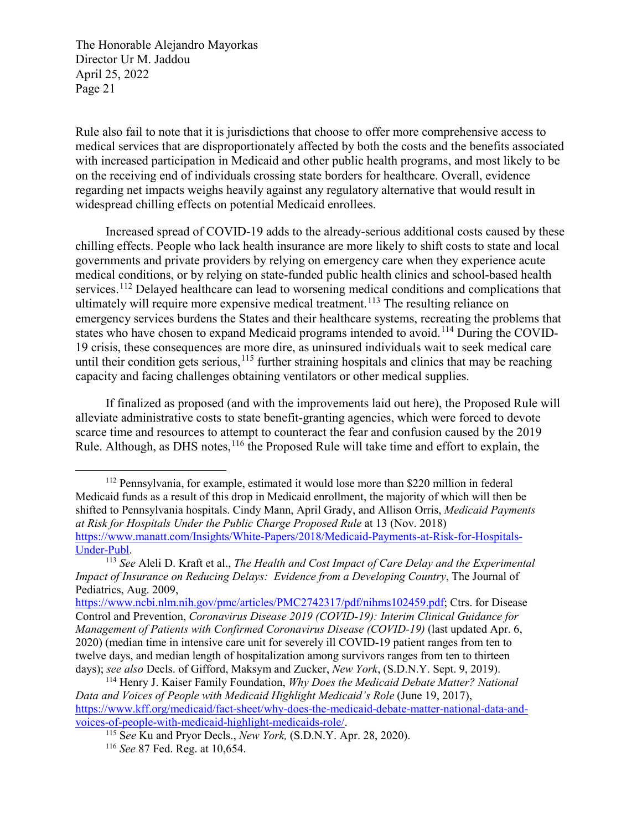Rule also fail to note that it is jurisdictions that choose to offer more comprehensive access to medical services that are disproportionately affected by both the costs and the benefits associated with increased participation in Medicaid and other public health programs, and most likely to be on the receiving end of individuals crossing state borders for healthcare. Overall, evidence regarding net impacts weighs heavily against any regulatory alternative that would result in widespread chilling effects on potential Medicaid enrollees.

Increased spread of COVID-19 adds to the already-serious additional costs caused by these chilling effects. People who lack health insurance are more likely to shift costs to state and local governments and private providers by relying on emergency care when they experience acute medical conditions, or by relying on state-funded public health clinics and school-based health services.<sup>[112](#page-20-0)</sup> Delayed healthcare can lead to worsening medical conditions and complications that ultimately will require more expensive medical treatment.<sup>[113](#page-20-1)</sup> The resulting reliance on emergency services burdens the States and their healthcare systems, recreating the problems that states who have chosen to expand Medicaid programs intended to avoid.<sup>[114](#page-20-2)</sup> During the COVID-19 crisis, these consequences are more dire, as uninsured individuals wait to seek medical care until their condition gets serious, <sup>[115](#page-20-3)</sup> further straining hospitals and clinics that may be reaching capacity and facing challenges obtaining ventilators or other medical supplies.

If finalized as proposed (and with the improvements laid out here), the Proposed Rule will alleviate administrative costs to state benefit-granting agencies, which were forced to devote scarce time and resources to attempt to counteract the fear and confusion caused by the 2019 Rule. Although, as DHS notes,  $116$  the Proposed Rule will take time and effort to explain, the

<span id="page-20-0"></span> <sup>112</sup> Pennsylvania, for example, estimated it would lose more than \$220 million in federal Medicaid funds as a result of this drop in Medicaid enrollment, the majority of which will then be shifted to Pennsylvania hospitals. Cindy Mann, April Grady, and Allison Orris, *Medicaid Payments at Risk for Hospitals Under the Public Charge Proposed Rule* at 13 (Nov. 2018) [https://www.manatt.com/Insights/White-Papers/2018/Medicaid-Payments-at-Risk-for-Hospitals-](https://www.manatt.com/Insights/White-Papers/2018/Medicaid-Payments-at-Risk-for-Hospitals-Under-Publ)[Under-Publ.](https://www.manatt.com/Insights/White-Papers/2018/Medicaid-Payments-at-Risk-for-Hospitals-Under-Publ) 113 *See* Aleli D. Kraft et al., *The Health and Cost Impact of Care Delay and the Experimental* 

<span id="page-20-1"></span>*Impact of Insurance on Reducing Delays: Evidence from a Developing Country*, The Journal of Pediatrics, Aug. 2009,

[https://www.ncbi.nlm.nih.gov/pmc/articles/PMC2742317/pdf/nihms102459.pdf;](https://www.ncbi.nlm.nih.gov/pmc/articles/PMC2742317/pdf/nihms102459.pdf) Ctrs. for Disease Control and Prevention, *Coronavirus Disease 2019 (COVID-19): Interim Clinical Guidance for Management of Patients with Confirmed Coronavirus Disease (COVID-19)* (last updated Apr. 6, 2020) (median time in intensive care unit for severely ill COVID-19 patient ranges from ten to twelve days, and median length of hospitalization among survivors ranges from ten to thirteen days); *see also* Decls. of Gifford, Maksym and Zucker, *New York*, (S.D.N.Y. Sept. 9, 2019).

<span id="page-20-4"></span><span id="page-20-3"></span><span id="page-20-2"></span><sup>114</sup> Henry J. Kaiser Family Foundation, *Why Does the Medicaid Debate Matter? National Data and Voices of People with Medicaid Highlight Medicaid's Role* (June 19, 2017), https://www.kff.org/medicaid/fact-sheet/why-does-the-medicaid-debate-matter-national-data-and-<br>voices-of-people-with-medicaid-highlight-medicaids-role/.

<sup>&</sup>lt;sup>115</sup> See Ku and Pryor Decls., *New York*, *(S.D.N.Y. Apr. 28, 2020).* 

<sup>116</sup> *See* 87 Fed. Reg. at 10,654.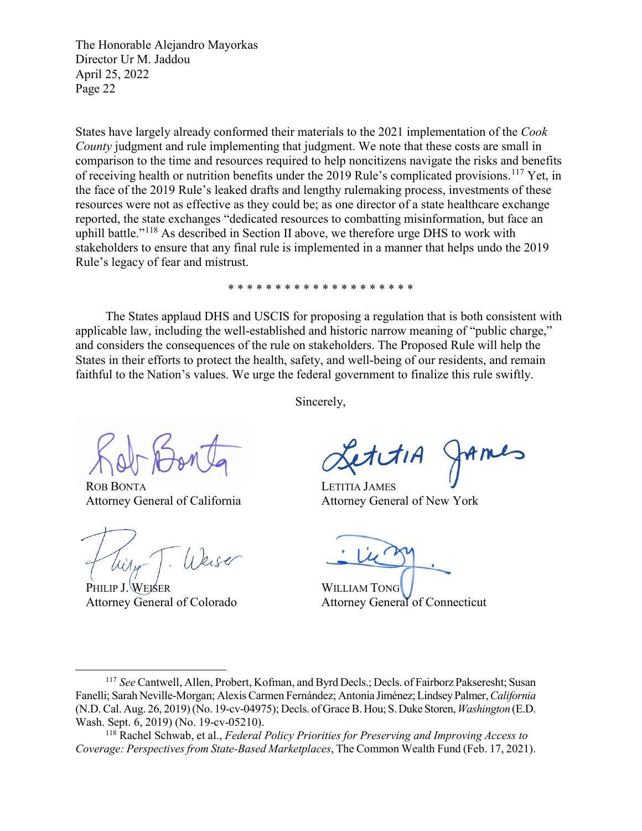States have largely already conformed their materials to the 2021 implementation of the *Cook County* judgment and rule implementing that judgment. We note that these costs are small in comparison to the time and resources required to help noncitizens navigate the risks and benefits of receiving health or nutrition benefits under the 2019 Rule's complicated provisions.<sup>[117](#page-21-0)</sup> Yet, in the face of the 2019 Rule's leaked drafts and lengthy rulemaking process, investments of these resources were not as effective as they could be; as one director of a state healthcare exchange reported, the state exchanges "dedicated resources to combatting misinformation, but face an uphill battle."<sup>[118](#page-21-1)</sup> As described in Section II above, we therefore urge DHS to work with stakeholders to ensure that any final rule is implemented in a manner that helps undo the 2019 Rule's legacy of fear and mistrust.

\* \* \* \* \* \* \* \* \* \* \* \* \* \* \* \* \* \* \* \*

The States applaud DHS and USCIS for proposing a regulation that is both consistent with applicable law, including the well-established and historic narrow meaning of "public charge," and considers the consequences of the rule on stakeholders. The Proposed Rule will help the States in their efforts to protect the health, safety, and well-being of our residents, and remain faithful to the Nation's values. We urge the federal government to finalize this rule swiftly.

Sincerely,

ROB BONTA Attorney General of California

Weise

PHILIP J. WEISER Attorney General of Colorado

 $MML$ 

LETITIA JAMES Attorney General of New York

WILLIAM TONG Attorney General of Connecticut

<span id="page-21-0"></span> <sup>117</sup> *See* Cantwell, Allen, Probert, Kofman, and Byrd Decls.; Decls. of Fairborz Pakseresht; Susan Fanelli; Sarah Neville-Morgan; Alexis Carmen Fernández; Antonia Jiménez; Lindsey Palmer, *California* (N.D. Cal. Aug. 26, 2019) (No. 19-cv-04975); Decls. of Grace B. Hou; S. Duke Storen, *Washington* (E.D. Wash. Sept. 6, 2019) (No. 19-cv-05210).

<span id="page-21-1"></span><sup>118</sup> Rachel Schwab, et al., *Federal Policy Priorities for Preserving and Improving Access to Coverage: Perspectives from State-Based Marketplaces*, The Common Wealth Fund (Feb. 17, 2021).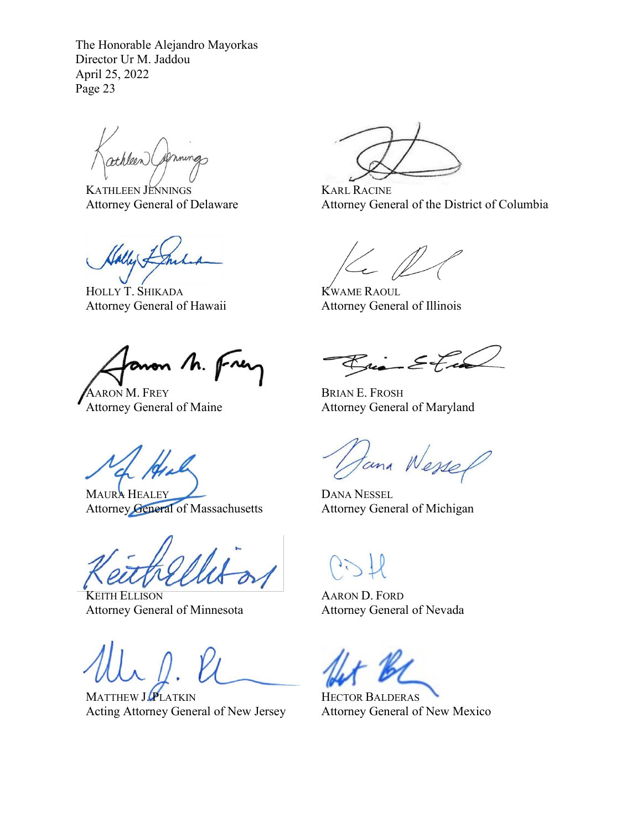KATHLEEN JENNINGS Attorney General of Delaware

HOLLY T. SHIKADA Attorney General of Hawaii

anon M. Frer

AARON M. FREY Attorney General of Maine

MAURA HEALEY Attorney General of Massachusetts

KEITH ELLISON Attorney General of Minnesota

MATTHEW J.PLATKIN Acting Attorney General of New Jersey

KARL RACINE Attorney General of the District of Columbia

KWAME RAOUL Attorney General of Illinois

Rico-Eta

BRIAN E. FROSH Attorney General of Maryland

tana Wessel

DANA NESSEL Attorney General of Michigan

AARON D. FORD Attorney General of Nevada

HECTOR BALDERAS Attorney General of New Mexico